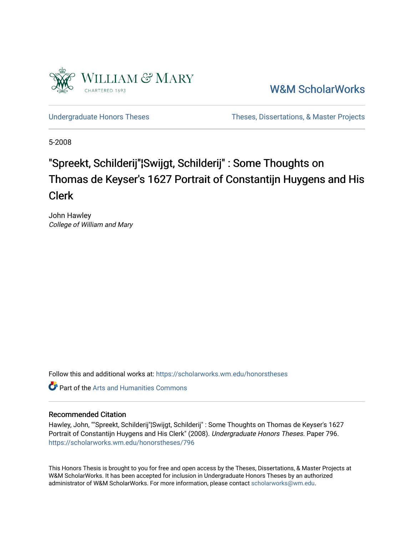

[W&M ScholarWorks](https://scholarworks.wm.edu/) 

[Undergraduate Honors Theses](https://scholarworks.wm.edu/honorstheses) Theses Theses, Dissertations, & Master Projects

5-2008

# "Spreekt, Schilderij"¦Swijgt, Schilderij" : Some Thoughts on Thomas de Keyser's 1627 Portrait of Constantijn Huygens and His Clerk

John Hawley College of William and Mary

Follow this and additional works at: [https://scholarworks.wm.edu/honorstheses](https://scholarworks.wm.edu/honorstheses?utm_source=scholarworks.wm.edu%2Fhonorstheses%2F796&utm_medium=PDF&utm_campaign=PDFCoverPages) 

**C** Part of the Arts and Humanities Commons

#### Recommended Citation

Hawley, John, ""Spreekt, Schilderij"¦Swijgt, Schilderij" : Some Thoughts on Thomas de Keyser's 1627 Portrait of Constantijn Huygens and His Clerk" (2008). Undergraduate Honors Theses. Paper 796. [https://scholarworks.wm.edu/honorstheses/796](https://scholarworks.wm.edu/honorstheses/796?utm_source=scholarworks.wm.edu%2Fhonorstheses%2F796&utm_medium=PDF&utm_campaign=PDFCoverPages) 

This Honors Thesis is brought to you for free and open access by the Theses, Dissertations, & Master Projects at W&M ScholarWorks. It has been accepted for inclusion in Undergraduate Honors Theses by an authorized administrator of W&M ScholarWorks. For more information, please contact [scholarworks@wm.edu.](mailto:scholarworks@wm.edu)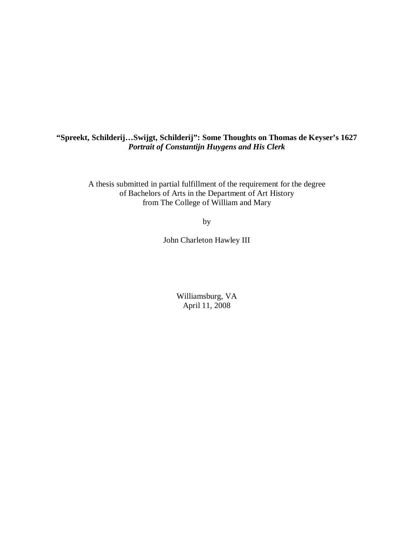### **"Spreekt, Schilderij…Swijgt, Schilderij": Some Thoughts on Thomas de Keyser's 1627**  *Portrait of Constantijn Huygens and His Clerk*

A thesis submitted in partial fulfillment of the requirement for the degree of Bachelors of Arts in the Department of Art History from The College of William and Mary

by

John Charleton Hawley III

Williamsburg, VA April 11, 2008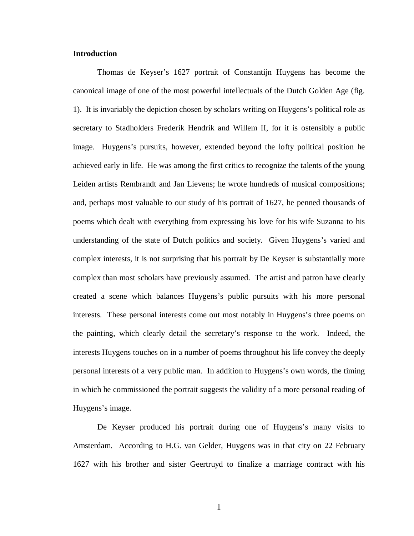#### **Introduction**

Thomas de Keyser's 1627 portrait of Constantijn Huygens has become the canonical image of one of the most powerful intellectuals of the Dutch Golden Age (fig. 1). It is invariably the depiction chosen by scholars writing on Huygens's political role as secretary to Stadholders Frederik Hendrik and Willem II, for it is ostensibly a public image. Huygens's pursuits, however, extended beyond the lofty political position he achieved early in life. He was among the first critics to recognize the talents of the young Leiden artists Rembrandt and Jan Lievens; he wrote hundreds of musical compositions; and, perhaps most valuable to our study of his portrait of 1627, he penned thousands of poems which dealt with everything from expressing his love for his wife Suzanna to his understanding of the state of Dutch politics and society. Given Huygens's varied and complex interests, it is not surprising that his portrait by De Keyser is substantially more complex than most scholars have previously assumed. The artist and patron have clearly created a scene which balances Huygens's public pursuits with his more personal interests. These personal interests come out most notably in Huygens's three poems on the painting, which clearly detail the secretary's response to the work. Indeed, the interests Huygens touches on in a number of poems throughout his life convey the deeply personal interests of a very public man. In addition to Huygens's own words, the timing in which he commissioned the portrait suggests the validity of a more personal reading of Huygens's image.

De Keyser produced his portrait during one of Huygens's many visits to Amsterdam. According to H.G. van Gelder, Huygens was in that city on 22 February 1627 with his brother and sister Geertruyd to finalize a marriage contract with his

1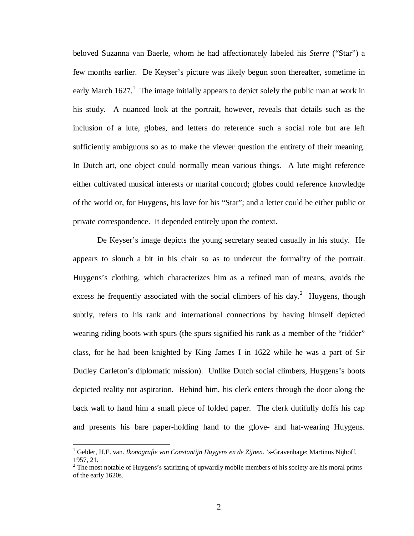beloved Suzanna van Baerle, whom he had affectionately labeled his *Sterre* ("Star") a few months earlier. De Keyser's picture was likely begun soon thereafter, sometime in early March  $1627<sup>1</sup>$ . The image initially appears to depict solely the public man at work in his study. A nuanced look at the portrait, however, reveals that details such as the inclusion of a lute, globes, and letters do reference such a social role but are left sufficiently ambiguous so as to make the viewer question the entirety of their meaning. In Dutch art, one object could normally mean various things. A lute might reference either cultivated musical interests or marital concord; globes could reference knowledge of the world or, for Huygens, his love for his "Star"; and a letter could be either public or private correspondence. It depended entirely upon the context.

De Keyser's image depicts the young secretary seated casually in his study. He appears to slouch a bit in his chair so as to undercut the formality of the portrait. Huygens's clothing, which characterizes him as a refined man of means, avoids the excess he frequently associated with the social climbers of his day.<sup>2</sup> Huygens, though subtly, refers to his rank and international connections by having himself depicted wearing riding boots with spurs (the spurs signified his rank as a member of the "ridder" class, for he had been knighted by King James I in 1622 while he was a part of Sir Dudley Carleton's diplomatic mission). Unlike Dutch social climbers, Huygens's boots depicted reality not aspiration. Behind him, his clerk enters through the door along the back wall to hand him a small piece of folded paper. The clerk dutifully doffs his cap and presents his bare paper-holding hand to the glove- and hat-wearing Huygens.

<sup>&</sup>lt;sup>1</sup> Gelder, H.E. van. *Ikonografie van Constantijn Huygens en de Zijnen*. 's-Gravenhage: Martinus Nijhoff, 1957, 21.

 $2^{2}$  The most notable of Huygens's satirizing of upwardly mobile members of his society are his moral prints of the early 1620s.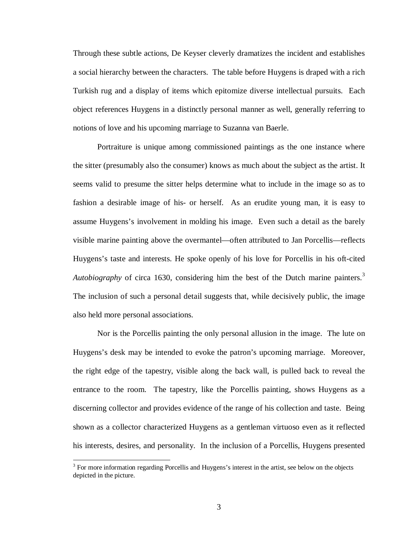Through these subtle actions, De Keyser cleverly dramatizes the incident and establishes a social hierarchy between the characters. The table before Huygens is draped with a rich Turkish rug and a display of items which epitomize diverse intellectual pursuits. Each object references Huygens in a distinctly personal manner as well, generally referring to notions of love and his upcoming marriage to Suzanna van Baerle.

Portraiture is unique among commissioned paintings as the one instance where the sitter (presumably also the consumer) knows as much about the subject as the artist. It seems valid to presume the sitter helps determine what to include in the image so as to fashion a desirable image of his- or herself. As an erudite young man, it is easy to assume Huygens's involvement in molding his image. Even such a detail as the barely visible marine painting above the overmantel—often attributed to Jan Porcellis—reflects Huygens's taste and interests. He spoke openly of his love for Porcellis in his oft-cited *Autobiography* of circa 1630, considering him the best of the Dutch marine painters.<sup>3</sup> The inclusion of such a personal detail suggests that, while decisively public, the image also held more personal associations.

Nor is the Porcellis painting the only personal allusion in the image. The lute on Huygens's desk may be intended to evoke the patron's upcoming marriage. Moreover, the right edge of the tapestry, visible along the back wall, is pulled back to reveal the entrance to the room. The tapestry, like the Porcellis painting, shows Huygens as a discerning collector and provides evidence of the range of his collection and taste. Being shown as a collector characterized Huygens as a gentleman virtuoso even as it reflected his interests, desires, and personality. In the inclusion of a Porcellis, Huygens presented

 $3$  For more information regarding Porcellis and Huygens's interest in the artist, see below on the objects depicted in the picture.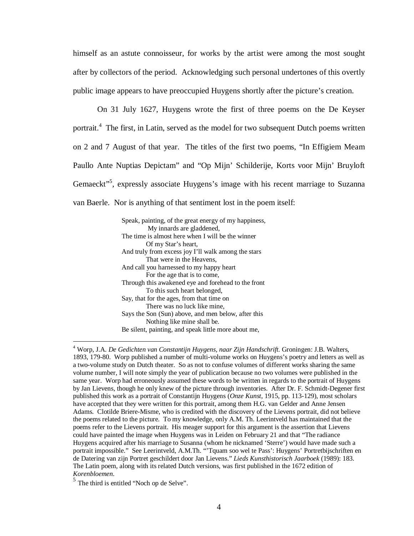himself as an astute connoisseur, for works by the artist were among the most sought after by collectors of the period. Acknowledging such personal undertones of this overtly public image appears to have preoccupied Huygens shortly after the picture's creation.

On 31 July 1627, Huygens wrote the first of three poems on the De Keyser portrait.<sup>4</sup> The first, in Latin, served as the model for two subsequent Dutch poems written on 2 and 7 August of that year. The titles of the first two poems, "In Effigiem Meam Paullo Ante Nuptias Depictam" and "Op Mijn' Schilderije, Korts voor Mijn' Bruyloft Gemaeckt"<sup>5</sup>, expressly associate Huygens's image with his recent marriage to Suzanna van Baerle. Nor is anything of that sentiment lost in the poem itself:

> Speak, painting, of the great energy of my happiness, My innards are gladdened, The time is almost here when I will be the winner Of my Star's heart, And truly from excess joy I'll walk among the stars That were in the Heavens, And call you harnessed to my happy heart For the age that is to come, Through this awakened eye and forehead to the front To this such heart belonged, Say, that for the ages, from that time on There was no luck like mine, Says the Son (Sun) above, and men below, after this Nothing like mine shall be. Be silent, painting, and speak little more about me,

<sup>4</sup> Worp, J.A. *De Gedichten van Constantijn Huygens, naar Zijn Handschrift.* Groningen: J.B. Walters, 1893, 179-80. Worp published a number of multi-volume works on Huygens's poetry and letters as well as a two-volume study on Dutch theater. So as not to confuse volumes of different works sharing the same volume number, I will note simply the year of publication because no two volumes were published in the same year. Worp had erroneously assumed these words to be written in regards to the portrait of Huygens by Jan Lievens, though he only knew of the picture through inventories. After Dr. F. Schmidt-Degener first published this work as a portrait of Constantijn Huygens (*Onze Kunst*, 1915, pp. 113-129), most scholars have accepted that they were written for this portrait, among them H.G. van Gelder and Anne Jensen Adams. Clotilde Briere-Misme, who is credited with the discovery of the Lievens portrait, did not believe the poems related to the picture. To my knowledge, only A.M. Th. Leerintveld has maintained that the poems refer to the Lievens portrait. His meager support for this argument is the assertion that Lievens could have painted the image when Huygens was in Leiden on February 21 and that "The radiance Huygens acquired after his marriage to Susanna (whom he nicknamed 'Sterre') would have made such a portrait impossible." See Leerintveld, A.M.Th. "'Tquam soo wel te Pass': Huygens' Portretbijschriften en de Datering van zijn Portret geschildert door Jan Lievens." *Lieds Kunsthistorisch Jaarboek* (1989): 183. The Latin poem, along with its related Dutch versions, was first published in the 1672 edition of *Korenbloemen*.

<sup>&</sup>lt;sup>5</sup> The third is entitled "Noch op de Selve".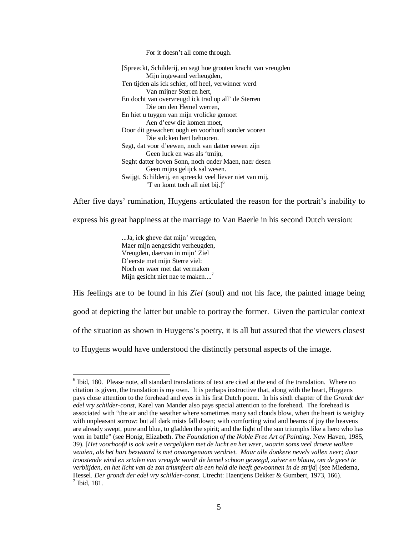For it doesn't all come through.

[Spreeckt, Schilderij, en segt hoe grooten kracht van vreugden Mijn ingewand verheugden, Ten tijden als ick schier, off heel, verwinner werd Van mijner Sterren hert, En docht van overvreugd ick trad op all' de Sterren Die om den Hemel werren, En hiet u tuygen van mijn vrolicke gemoet Aen d'eew die komen moet, Door dit gewachert oogh en voorhooft sonder vooren Die sulcken hert behooren. Segt, dat voor d'eewen, noch van datter eewen zijn Geen luck en was als 'tmijn, Seght datter boven Sonn, noch onder Maen, naer desen Geen mijns gelijck sal wesen. Swijgt, Schilderij, en spreeckt veel liever niet van mij, 'T en komt toch all niet bij. $]^{6}$ 

After five days' rumination, Huygens articulated the reason for the portrait's inability to

express his great happiness at the marriage to Van Baerle in his second Dutch version:

...Ja, ick gheve dat mijn' vreugden, Maer mijn aengesicht verheugden, Vreugden, daervan in mijn' Ziel D'eerste met mijn Sterre viel: Noch en waer met dat vermaken Mijn gesicht niet nae te maken....<sup>7</sup>

<u>.</u>

His feelings are to be found in his *Ziel* (soul) and not his face, the painted image being good at depicting the latter but unable to portray the former. Given the particular context of the situation as shown in Huygens's poetry, it is all but assured that the viewers closest to Huygens would have understood the distinctly personal aspects of the image.

<sup>&</sup>lt;sup>6</sup> Ibid, 180. Please note, all standard translations of text are cited at the end of the translation. Where no citation is given, the translation is my own. It is perhaps instructive that, along with the heart, Huygens pays close attention to the forehead and eyes in his first Dutch poem. In his sixth chapter of the *Grondt der edel vry schilder-const*, Karel van Mander also pays special attention to the forehead. The forehead is associated with "the air and the weather where sometimes many sad clouds blow, when the heart is weighty with unpleasant sorrow: but all dark mists fall down; with comforting wind and beams of joy the heavens are already swept, pure and blue, to gladden the spirit; and the light of the sun triumphs like a hero who has won in battle" (see Honig, Elizabeth. *The Foundation of the Noble Free Art of Painting*. New Haven, 1985, 39). [*Het voorhoofd is ook welt e vergelijken met de lucht en het weer, waarin soms veel droeve wolken waaien, als het hart bezwaard is met onaangenaam verdriet. Maar alle donkere nevels vallen neer; door troostende wind en srtalen van vreugde wordt de hemel schoon geveegd, zuiver en blauw, om de geest te verblijden, en het licht van de zon triumfeert als een held die heeft gewoonnen in de strijd*] (see Miedema, Hessel. *Der grondt der edel vry schilder-const*. Utrecht: Haentjens Dekker & Gumbert, 1973, 166). 7 Ibid, 181.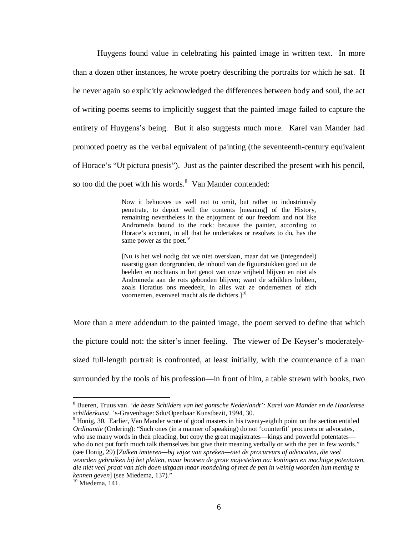Huygens found value in celebrating his painted image in written text. In more than a dozen other instances, he wrote poetry describing the portraits for which he sat. If he never again so explicitly acknowledged the differences between body and soul, the act of writing poems seems to implicitly suggest that the painted image failed to capture the entirety of Huygens's being. But it also suggests much more. Karel van Mander had promoted poetry as the verbal equivalent of painting (the seventeenth-century equivalent of Horace's "Ut pictura poesis"). Just as the painter described the present with his pencil, so too did the poet with his words.<sup>8</sup> Van Mander contended:

> Now it behooves us well not to omit, but rather to industriously penetrate, to depict well the contents [meaning] of the History, remaining nevertheless in the enjoyment of our freedom and not like Andromeda bound to the rock: because the painter, according to Horace's account, in all that he undertakes or resolves to do, has the same power as the poet.<sup>9</sup>

> [Nu is het wel nodig dat we niet overslaan, maar dat we (integendeel) naarstig gaan doorgronden, de inhoud van de figuurstukken goed uit de beelden en nochtans in het genot van onze vrijheid blijven en niet als Andromeda aan de rots gebonden blijven; want de schilders hebben, zoals Horatius ons meedeelt, in alles wat ze ondernemen of zich voornemen, evenveel macht als de dichters.]<sup>10</sup>

More than a mere addendum to the painted image, the poem served to define that which the picture could not: the sitter's inner feeling. The viewer of De Keyser's moderatelysized full-length portrait is confronted, at least initially, with the countenance of a man surrounded by the tools of his profession—in front of him, a table strewn with books, two

<sup>8</sup> Bueren, Truus van. *'de beste Schilders van het gantsche Nederlandt': Karel van Mander en de Haarlemse schilderkunst*. 's-Gravenhage: Sdu/Openbaar Kunstbezit, 1994, 30.

<sup>&</sup>lt;sup>9</sup> Honig, 30. Earlier, Van Mander wrote of good masters in his twenty-eighth point on the section entitled *Ordinantie* (Ordering): "Such ones (in a manner of speaking) do not 'counterfit' procurers or advocates, who use many words in their pleading, but copy the great magistrates—kings and powerful potentates who do not put forth much talk themselves but give their meaning verbally or with the pen in few words." (see Honig, 29) [*Zulken imiteren—bij wijze van spreken—niet de procureurs of advocaten, die veel woorden gebruiken bij het pleiten, maar bootsen de grote majesteiten na: koningen en machtige potentaten, die niet veel praat van zich doen uitgaan maar mondeling of met de pen in weinig woorden hun mening te kennen geven*] (see Miedema, 137)."

 $\frac{10}{10}$  Miedema, 141.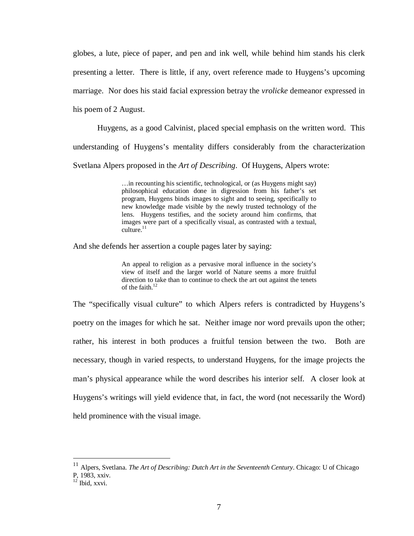globes, a lute, piece of paper, and pen and ink well, while behind him stands his clerk presenting a letter. There is little, if any, overt reference made to Huygens's upcoming marriage. Nor does his staid facial expression betray the *vrolicke* demeanor expressed in his poem of 2 August.

Huygens, as a good Calvinist, placed special emphasis on the written word. This understanding of Huygens's mentality differs considerably from the characterization Svetlana Alpers proposed in the *Art of Describing*. Of Huygens, Alpers wrote:

> …in recounting his scientific, technological, or (as Huygens might say) philosophical education done in digression from his father's set program, Huygens binds images to sight and to seeing, specifically to new knowledge made visible by the newly trusted technology of the lens. Huygens testifies, and the society around him confirms, that images were part of a specifically visual, as contrasted with a textual, culture. $11$

And she defends her assertion a couple pages later by saying:

An appeal to religion as a pervasive moral influence in the society's view of itself and the larger world of Nature seems a more fruitful direction to take than to continue to check the art out against the tenets of the faith. $12$ 

The "specifically visual culture" to which Alpers refers is contradicted by Huygens's poetry on the images for which he sat. Neither image nor word prevails upon the other; rather, his interest in both produces a fruitful tension between the two. Both are necessary, though in varied respects, to understand Huygens, for the image projects the man's physical appearance while the word describes his interior self. A closer look at Huygens's writings will yield evidence that, in fact, the word (not necessarily the Word) held prominence with the visual image.

<sup>11</sup> Alpers, Svetlana. *The Art of Describing: Dutch Art in the Seventeenth Century*. Chicago: U of Chicago P, 1983, xxiv.

 $12$  Ibid, xxvi.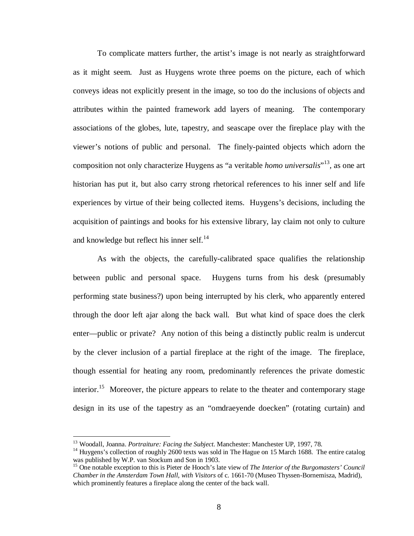To complicate matters further, the artist's image is not nearly as straightforward as it might seem. Just as Huygens wrote three poems on the picture, each of which conveys ideas not explicitly present in the image, so too do the inclusions of objects and attributes within the painted framework add layers of meaning. The contemporary associations of the globes, lute, tapestry, and seascape over the fireplace play with the viewer's notions of public and personal. The finely-painted objects which adorn the composition not only characterize Huygens as "a veritable *homo universalis*" <sup>13</sup>, as one art historian has put it, but also carry strong rhetorical references to his inner self and life experiences by virtue of their being collected items. Huygens's decisions, including the acquisition of paintings and books for his extensive library, lay claim not only to culture and knowledge but reflect his inner self. $^{14}$ 

As with the objects, the carefully-calibrated space qualifies the relationship between public and personal space. Huygens turns from his desk (presumably performing state business?) upon being interrupted by his clerk, who apparently entered through the door left ajar along the back wall. But what kind of space does the clerk enter—public or private? Any notion of this being a distinctly public realm is undercut by the clever inclusion of a partial fireplace at the right of the image. The fireplace, though essential for heating any room, predominantly references the private domestic interior.<sup>15</sup> Moreover, the picture appears to relate to the theater and contemporary stage design in its use of the tapestry as an "omdraeyende doecken" (rotating curtain) and

<sup>13</sup> Woodall, Joanna. *Portraiture: Facing the Subject*. Manchester: Manchester UP, 1997, 78.

<sup>&</sup>lt;sup>14</sup> Huygens's collection of roughly 2600 texts was sold in The Hague on 15 March 1688. The entire catalog was published by W.P. van Stockum and Son in 1903.

<sup>&</sup>lt;sup>15</sup> One notable exception to this is Pieter de Hooch's late view of *The Interior of the Burgomasters' Council Chamber in the Amsterdam Town Hall, with Visitors* of c. 1661-70 (Museo Thyssen-Bornemisza, Madrid), which prominently features a fireplace along the center of the back wall.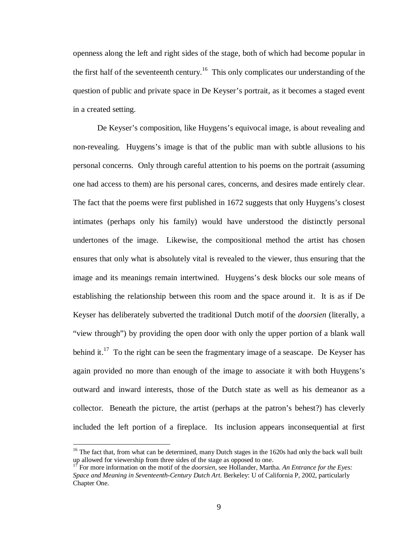openness along the left and right sides of the stage, both of which had become popular in the first half of the seventeenth century.<sup>16</sup> This only complicates our understanding of the question of public and private space in De Keyser's portrait, as it becomes a staged event in a created setting.

De Keyser's composition, like Huygens's equivocal image, is about revealing and non-revealing. Huygens's image is that of the public man with subtle allusions to his personal concerns. Only through careful attention to his poems on the portrait (assuming one had access to them) are his personal cares, concerns, and desires made entirely clear. The fact that the poems were first published in 1672 suggests that only Huygens's closest intimates (perhaps only his family) would have understood the distinctly personal undertones of the image. Likewise, the compositional method the artist has chosen ensures that only what is absolutely vital is revealed to the viewer, thus ensuring that the image and its meanings remain intertwined. Huygens's desk blocks our sole means of establishing the relationship between this room and the space around it. It is as if De Keyser has deliberately subverted the traditional Dutch motif of the *doorsien* (literally, a "view through") by providing the open door with only the upper portion of a blank wall behind it.<sup>17</sup> To the right can be seen the fragmentary image of a seascape. De Keyser has again provided no more than enough of the image to associate it with both Huygens's outward and inward interests, those of the Dutch state as well as his demeanor as a collector. Beneath the picture, the artist (perhaps at the patron's behest?) has cleverly included the left portion of a fireplace. Its inclusion appears inconsequential at first

<sup>&</sup>lt;sup>16</sup> The fact that, from what can be determined, many Dutch stages in the 1620s had only the back wall built up allowed for viewership from three sides of the stage as opposed to one.

<sup>17</sup> For more information on the motif of the *doorsien*, see Hollander, Martha. *An Entrance for the Eyes: Space and Meaning in Seventeenth-Century Dutch Art*. Berkeley: U of California P, 2002, particularly Chapter One.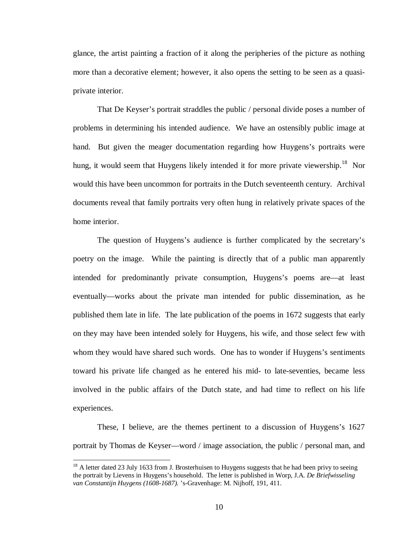glance, the artist painting a fraction of it along the peripheries of the picture as nothing more than a decorative element; however, it also opens the setting to be seen as a quasiprivate interior.

That De Keyser's portrait straddles the public / personal divide poses a number of problems in determining his intended audience. We have an ostensibly public image at hand. But given the meager documentation regarding how Huygens's portraits were hung, it would seem that Huygens likely intended it for more private viewership.<sup>18</sup> Nor would this have been uncommon for portraits in the Dutch seventeenth century. Archival documents reveal that family portraits very often hung in relatively private spaces of the home interior.

The question of Huygens's audience is further complicated by the secretary's poetry on the image. While the painting is directly that of a public man apparently intended for predominantly private consumption, Huygens's poems are—at least eventually—works about the private man intended for public dissemination, as he published them late in life. The late publication of the poems in 1672 suggests that early on they may have been intended solely for Huygens, his wife, and those select few with whom they would have shared such words. One has to wonder if Huygens's sentiments toward his private life changed as he entered his mid- to late-seventies, became less involved in the public affairs of the Dutch state, and had time to reflect on his life experiences.

These, I believe, are the themes pertinent to a discussion of Huygens's 1627 portrait by Thomas de Keyser—word / image association, the public / personal man, and

 $18$  A letter dated 23 July 1633 from J. Brosterhuisen to Huygens suggests that he had been privy to seeing the portrait by Lievens in Huygens's household. The letter is published in Worp, J.A. *De Briefwisseling van Constantijn Huygens (1608-1687).* 's-Gravenhage: M. Nijhoff, 191, 411.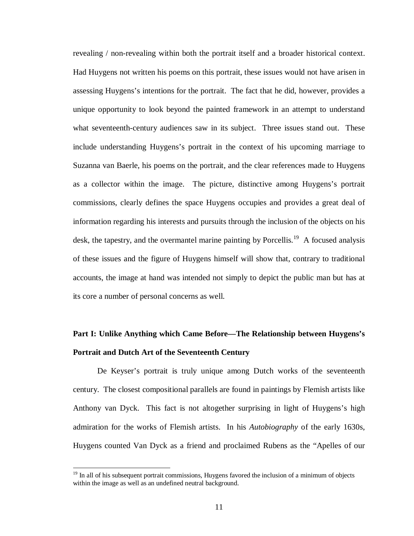revealing / non-revealing within both the portrait itself and a broader historical context. Had Huygens not written his poems on this portrait, these issues would not have arisen in assessing Huygens's intentions for the portrait. The fact that he did, however, provides a unique opportunity to look beyond the painted framework in an attempt to understand what seventeenth-century audiences saw in its subject. Three issues stand out. These include understanding Huygens's portrait in the context of his upcoming marriage to Suzanna van Baerle, his poems on the portrait, and the clear references made to Huygens as a collector within the image. The picture, distinctive among Huygens's portrait commissions, clearly defines the space Huygens occupies and provides a great deal of information regarding his interests and pursuits through the inclusion of the objects on his desk, the tapestry, and the overmantel marine painting by Porcellis.<sup>19</sup> A focused analysis of these issues and the figure of Huygens himself will show that, contrary to traditional accounts, the image at hand was intended not simply to depict the public man but has at its core a number of personal concerns as well.

## **Part I: Unlike Anything which Came Before—The Relationship between Huygens's Portrait and Dutch Art of the Seventeenth Century**

De Keyser's portrait is truly unique among Dutch works of the seventeenth century. The closest compositional parallels are found in paintings by Flemish artists like Anthony van Dyck. This fact is not altogether surprising in light of Huygens's high admiration for the works of Flemish artists. In his *Autobiography* of the early 1630s, Huygens counted Van Dyck as a friend and proclaimed Rubens as the "Apelles of our

<sup>&</sup>lt;sup>19</sup> In all of his subsequent portrait commissions, Huygens favored the inclusion of a minimum of objects within the image as well as an undefined neutral background.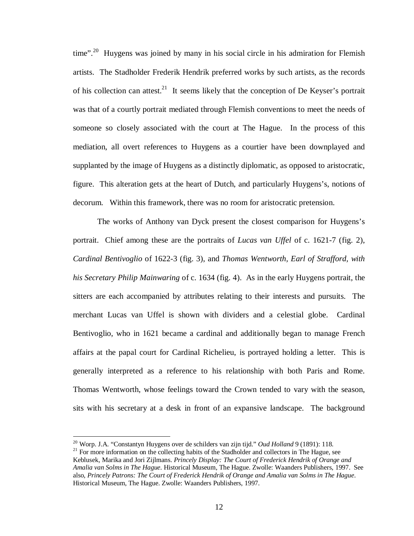time".<sup>20</sup> Huygens was joined by many in his social circle in his admiration for Flemish artists. The Stadholder Frederik Hendrik preferred works by such artists, as the records of his collection can attest.<sup>21</sup> It seems likely that the conception of De Keyser's portrait was that of a courtly portrait mediated through Flemish conventions to meet the needs of someone so closely associated with the court at The Hague. In the process of this mediation, all overt references to Huygens as a courtier have been downplayed and supplanted by the image of Huygens as a distinctly diplomatic, as opposed to aristocratic, figure. This alteration gets at the heart of Dutch, and particularly Huygens's, notions of decorum. Within this framework, there was no room for aristocratic pretension.

The works of Anthony van Dyck present the closest comparison for Huygens's portrait. Chief among these are the portraits of *Lucas van Uffel* of c. 1621-7 (fig. 2), *Cardinal Bentivoglio* of 1622-3 (fig. 3), and *Thomas Wentworth, Earl of Strafford, with his Secretary Philip Mainwaring* of c. 1634 (fig. 4). As in the early Huygens portrait, the sitters are each accompanied by attributes relating to their interests and pursuits. The merchant Lucas van Uffel is shown with dividers and a celestial globe. Cardinal Bentivoglio, who in 1621 became a cardinal and additionally began to manage French affairs at the papal court for Cardinal Richelieu, is portrayed holding a letter. This is generally interpreted as a reference to his relationship with both Paris and Rome. Thomas Wentworth, whose feelings toward the Crown tended to vary with the season, sits with his secretary at a desk in front of an expansive landscape. The background

<sup>20</sup> Worp. J.A. "Constantyn Huygens over de schilders van zijn tijd." *Oud Holland* 9 (1891): 118.

 $21$  For more information on the collecting habits of the Stadholder and collectors in The Hague, see Keblusek, Marika and Jori Zijlmans. *Princely Display: The Court of Frederick Hendrik of Orange and Amalia van Solms in The Hague*. Historical Museum, The Hague. Zwolle: Waanders Publishers, 1997. See also, *Princely Patrons: The Court of Frederick Hendrik of Orange and Amalia van Solms in The Hague*. Historical Museum, The Hague. Zwolle: Waanders Publishers, 1997.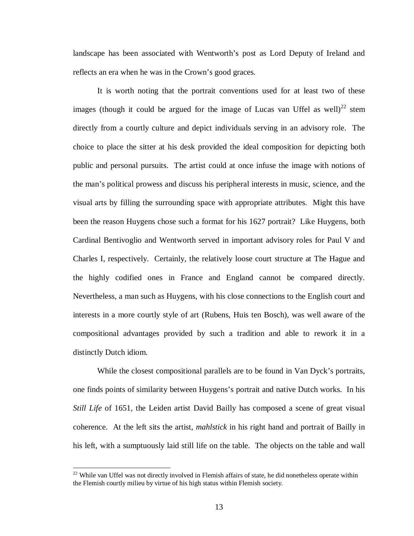landscape has been associated with Wentworth's post as Lord Deputy of Ireland and reflects an era when he was in the Crown's good graces.

It is worth noting that the portrait conventions used for at least two of these images (though it could be argued for the image of Lucas van Uffel as well)<sup>22</sup> stem directly from a courtly culture and depict individuals serving in an advisory role. The choice to place the sitter at his desk provided the ideal composition for depicting both public and personal pursuits. The artist could at once infuse the image with notions of the man's political prowess and discuss his peripheral interests in music, science, and the visual arts by filling the surrounding space with appropriate attributes. Might this have been the reason Huygens chose such a format for his 1627 portrait? Like Huygens, both Cardinal Bentivoglio and Wentworth served in important advisory roles for Paul V and Charles I, respectively. Certainly, the relatively loose court structure at The Hague and the highly codified ones in France and England cannot be compared directly. Nevertheless, a man such as Huygens, with his close connections to the English court and interests in a more courtly style of art (Rubens, Huis ten Bosch), was well aware of the compositional advantages provided by such a tradition and able to rework it in a distinctly Dutch idiom.

While the closest compositional parallels are to be found in Van Dyck's portraits, one finds points of similarity between Huygens's portrait and native Dutch works. In his *Still Life* of 1651, the Leiden artist David Bailly has composed a scene of great visual coherence. At the left sits the artist, *mahlstick* in his right hand and portrait of Bailly in his left, with a sumptuously laid still life on the table. The objects on the table and wall

 $22$  While van Uffel was not directly involved in Flemish affairs of state, he did nonetheless operate within the Flemish courtly milieu by virtue of his high status within Flemish society.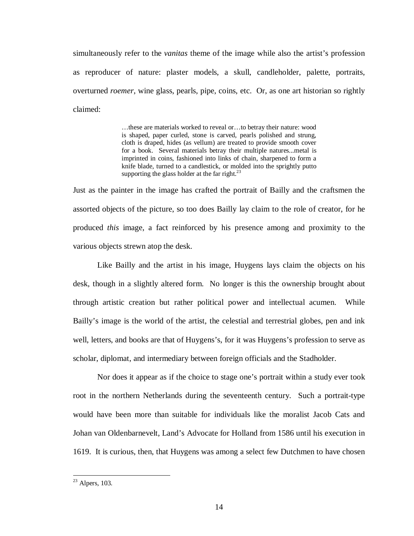simultaneously refer to the *vanitas* theme of the image while also the artist's profession as reproducer of nature: plaster models, a skull, candleholder, palette, portraits, overturned *roemer*, wine glass, pearls, pipe, coins, etc. Or, as one art historian so rightly claimed:

> …these are materials worked to reveal or…to betray their nature: wood is shaped, paper curled, stone is carved, pearls polished and strung, cloth is draped, hides (as vellum) are treated to provide smooth cover for a book. Several materials betray their multiple natures...metal is imprinted in coins, fashioned into links of chain, sharpened to form a knife blade, turned to a candlestick, or molded into the sprightly putto supporting the glass holder at the far right. $^{23}$

Just as the painter in the image has crafted the portrait of Bailly and the craftsmen the assorted objects of the picture, so too does Bailly lay claim to the role of creator, for he produced *this* image, a fact reinforced by his presence among and proximity to the various objects strewn atop the desk.

Like Bailly and the artist in his image, Huygens lays claim the objects on his desk, though in a slightly altered form. No longer is this the ownership brought about through artistic creation but rather political power and intellectual acumen. While Bailly's image is the world of the artist, the celestial and terrestrial globes, pen and ink well, letters, and books are that of Huygens's, for it was Huygens's profession to serve as scholar, diplomat, and intermediary between foreign officials and the Stadholder.

Nor does it appear as if the choice to stage one's portrait within a study ever took root in the northern Netherlands during the seventeenth century. Such a portrait-type would have been more than suitable for individuals like the moralist Jacob Cats and Johan van Oldenbarnevelt, Land's Advocate for Holland from 1586 until his execution in 1619. It is curious, then, that Huygens was among a select few Dutchmen to have chosen

 $23$  Alpers, 103.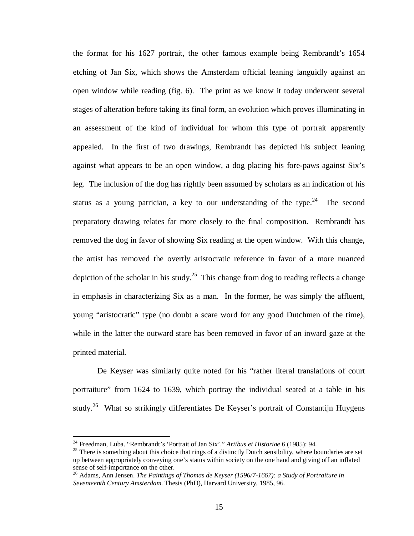the format for his 1627 portrait, the other famous example being Rembrandt's 1654 etching of Jan Six, which shows the Amsterdam official leaning languidly against an open window while reading (fig. 6). The print as we know it today underwent several stages of alteration before taking its final form, an evolution which proves illuminating in an assessment of the kind of individual for whom this type of portrait apparently appealed. In the first of two drawings, Rembrandt has depicted his subject leaning against what appears to be an open window, a dog placing his fore-paws against Six's leg. The inclusion of the dog has rightly been assumed by scholars as an indication of his status as a young patrician, a key to our understanding of the type.<sup>24</sup> The second preparatory drawing relates far more closely to the final composition. Rembrandt has removed the dog in favor of showing Six reading at the open window. With this change, the artist has removed the overtly aristocratic reference in favor of a more nuanced depiction of the scholar in his study.<sup>25</sup> This change from dog to reading reflects a change in emphasis in characterizing Six as a man. In the former, he was simply the affluent, young "aristocratic" type (no doubt a scare word for any good Dutchmen of the time), while in the latter the outward stare has been removed in favor of an inward gaze at the printed material.

De Keyser was similarly quite noted for his "rather literal translations of court portraiture" from 1624 to 1639, which portray the individual seated at a table in his study.<sup>26</sup> What so strikingly differentiates De Keyser's portrait of Constantijn Huygens

<sup>24</sup> Freedman, Luba. "Rembrandt's 'Portrait of Jan Six'." *Artibus et Historiae* 6 (1985): 94.

 $25$  There is something about this choice that rings of a distinctly Dutch sensibility, where boundaries are set up between appropriately conveying one's status within society on the one hand and giving off an inflated sense of self-importance on the other.

<sup>26</sup> Adams, Ann Jensen. *The Paintings of Thomas de Keyser (1596/7-1667): a Study of Portraiture in Seventeenth Century Amsterdam*. Thesis (PhD), Harvard University, 1985, 96.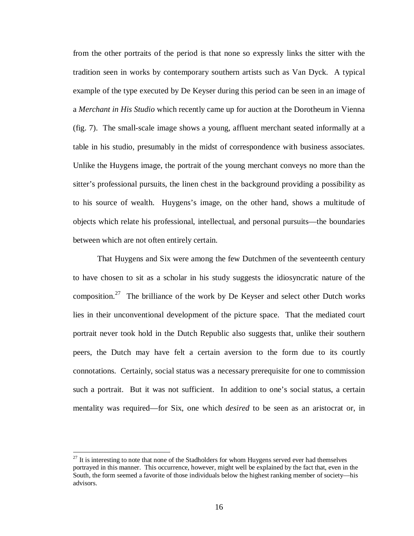from the other portraits of the period is that none so expressly links the sitter with the tradition seen in works by contemporary southern artists such as Van Dyck. A typical example of the type executed by De Keyser during this period can be seen in an image of a *Merchant in His Studio* which recently came up for auction at the Dorotheum in Vienna (fig. 7). The small-scale image shows a young, affluent merchant seated informally at a table in his studio, presumably in the midst of correspondence with business associates. Unlike the Huygens image, the portrait of the young merchant conveys no more than the sitter's professional pursuits, the linen chest in the background providing a possibility as to his source of wealth. Huygens's image, on the other hand, shows a multitude of objects which relate his professional, intellectual, and personal pursuits—the boundaries between which are not often entirely certain.

That Huygens and Six were among the few Dutchmen of the seventeenth century to have chosen to sit as a scholar in his study suggests the idiosyncratic nature of the composition.<sup>27</sup> The brilliance of the work by De Keyser and select other Dutch works lies in their unconventional development of the picture space. That the mediated court portrait never took hold in the Dutch Republic also suggests that, unlike their southern peers, the Dutch may have felt a certain aversion to the form due to its courtly connotations. Certainly, social status was a necessary prerequisite for one to commission such a portrait. But it was not sufficient. In addition to one's social status, a certain mentality was required—for Six, one which *desired* to be seen as an aristocrat or, in

 $27$  It is interesting to note that none of the Stadholders for whom Huygens served ever had themselves portrayed in this manner. This occurrence, however, might well be explained by the fact that, even in the South, the form seemed a favorite of those individuals below the highest ranking member of society—his advisors.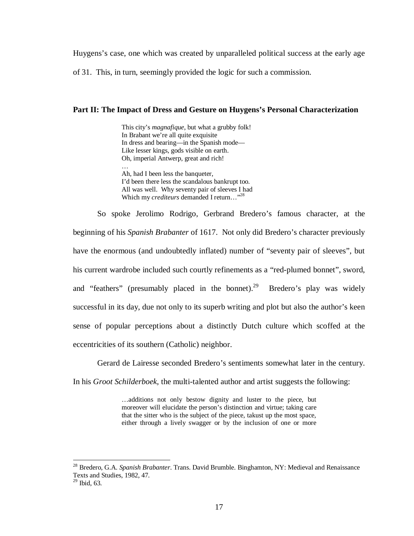Huygens's case, one which was created by unparalleled political success at the early age

of 31. This, in turn, seemingly provided the logic for such a commission.

#### **Part II: The Impact of Dress and Gesture on Huygens's Personal Characterization**

This city's *magnafique*, but what a grubby folk! In Brabant we're all quite exquisite In dress and bearing—in the Spanish mode— Like lesser kings, gods visible on earth. Oh, imperial Antwerp, great and rich! … Ah, had I been less the banqueter, I'd been there less the scandalous bankrupt too. All was well. Why seventy pair of sleeves I had Which my *crediteurs* demanded I return..."<sup>28</sup>

So spoke Jerolimo Rodrigo, Gerbrand Bredero's famous character, at the beginning of his *Spanish Brabanter* of 1617. Not only did Bredero's character previously have the enormous (and undoubtedly inflated) number of "seventy pair of sleeves", but his current wardrobe included such courtly refinements as a "red-plumed bonnet", sword, and "feathers" (presumably placed in the bonnet).<sup>29</sup> Bredero's play was widely successful in its day, due not only to its superb writing and plot but also the author's keen sense of popular perceptions about a distinctly Dutch culture which scoffed at the eccentricities of its southern (Catholic) neighbor.

Gerard de Lairesse seconded Bredero's sentiments somewhat later in the century.

In his *Groot Schilderboek*, the multi-talented author and artist suggests the following:

…additions not only bestow dignity and luster to the piece, but moreover will elucidate the person's distinction and virtue; taking care that the sitter who is the subject of the piece, takust up the most space, either through a lively swagger or by the inclusion of one or more

<sup>28</sup> Bredero, G.A. *Spanish Brabanter*. Trans. David Brumble. Binghamton, NY: Medieval and Renaissance Texts and Studies, 1982, 47.

 $29$  Ibid, 63.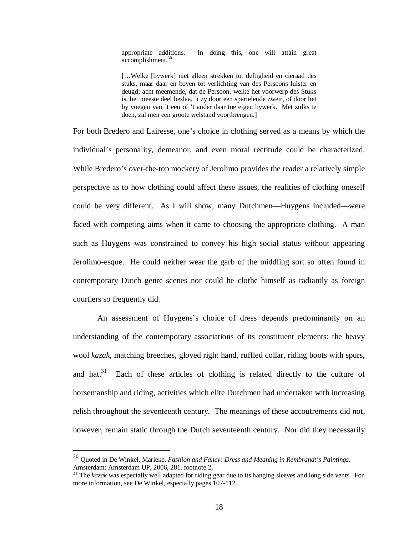appropriate additions. In doing this, one will attain great accomplishment.<sup>30</sup>

[...Welke [bywerk] niet alleen strekken tot deftigheid en cieraad des stuks, maar daar en boven tot verlichting van des Persoons luister en deugd; acht meemende, dat de Persoon, welke het voorwerp des Stuks is, het meeste deel beslaa, 't zy door een spartelende zweir, of door het by voegen van 't een of 't ander daar toe eigen bywerk. Met zulks te doen, zal men een groote welstand voortbrengen.]

For both Bredero and Lairesse, one's choice in clothing served as a means by which the individual's personality, demeanor, and even moral rectitude could be characterized. While Bredero's over-the-top mockery of Jerolimo provides the reader a relatively simple perspective as to how clothing could affect these issues, the realities of clothing oneself could be very different. As I will show, many Dutchmen—Huygens included—were faced with competing aims when it came to choosing the appropriate clothing. A man such as Huygens was constrained to convey his high social status without appearing Jerolimo-esque. He could neither wear the garb of the middling sort so often found in contemporary Dutch genre scenes nor could he clothe himself as radiantly as foreign courtiers so frequently did.

An assessment of Huygens's choice of dress depends predominantly on an understanding of the contemporary associations of its constituent elements: the heavy wool *kazak*, matching breeches, gloved right hand, ruffled collar, riding boots with spurs, and hat. $31$  Each of these articles of clothing is related directly to the culture of horsemanship and riding, activities which elite Dutchmen had undertaken with increasing relish throughout the seventeenth century. The meanings of these accoutrements did not, however, remain static through the Dutch seventeenth century. Nor did they necessarily

<sup>30</sup> Quoted in De Winkel, Marieke. *Fashion and Fancy: Dress and Meaning in Rembrandt's Paintings*. Amsterdam: Amsterdam UP, 2006, 281, footnote 2.

<sup>&</sup>lt;sup>31</sup> The *kazak* was especially well adapted for riding gear due to its hanging sleeves and long side vents. For more information, see De Winkel, especially pages 107-112.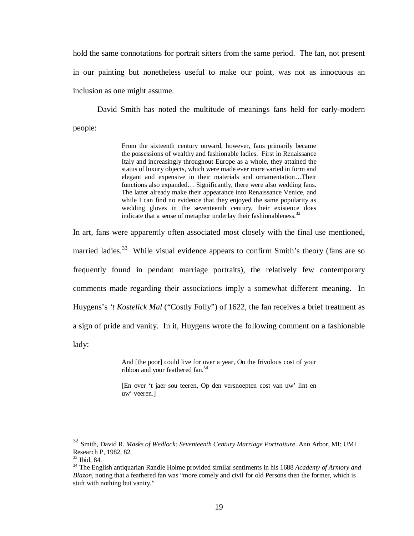hold the same connotations for portrait sitters from the same period. The fan, not present in our painting but nonetheless useful to make our point, was not as innocuous an inclusion as one might assume.

David Smith has noted the multitude of meanings fans held for early-modern people:

> From the sixteenth century onward, however, fans primarily became the possessions of wealthy and fashionable ladies. First in Renaissance Italy and increasingly throughout Europe as a whole, they attained the status of luxury objects, which were made ever more varied in form and elegant and expensive in their materials and ornamentation…Their functions also expanded... Significantly, there were also wedding fans. The latter already make their appearance into Renaissance Venice, and while I can find no evidence that they enjoyed the same popularity as wedding gloves in the seventeenth century, their existence does indicate that a sense of metaphor underlay their fashionableness.<sup>32</sup>

In art, fans were apparently often associated most closely with the final use mentioned, married ladies.<sup>33</sup> While visual evidence appears to confirm Smith's theory (fans are so frequently found in pendant marriage portraits), the relatively few contemporary comments made regarding their associations imply a somewhat different meaning. In Huygens's 't Kostelick Mal ("Costly Folly") of 1622, the fan receives a brief treatment as a sign of pride and vanity. In it, Huygens wrote the following comment on a fashionable lady:

> And [the poor] could live for over a year, On the frivolous cost of your ribbon and your feathered fan.<sup>34</sup>

> [En over 't jaer sou teeren, Op den versnoepten cost van uw' lint en uw' veeren.]

<sup>32</sup> Smith, David R. *Masks of Wedlock: Seventeenth Century Marriage Portraiture*. Ann Arbor, MI: UMI Research P, 1982, 82.

<sup>33</sup> Ibid, 84.

<sup>34</sup> The English antiquarian Randle Holme provided similar sentiments in his 1688 *Academy of Armory and Blazon*, noting that a feathered fan was "more comely and civil for old Persons then the former, which is stuft with nothing but vanity."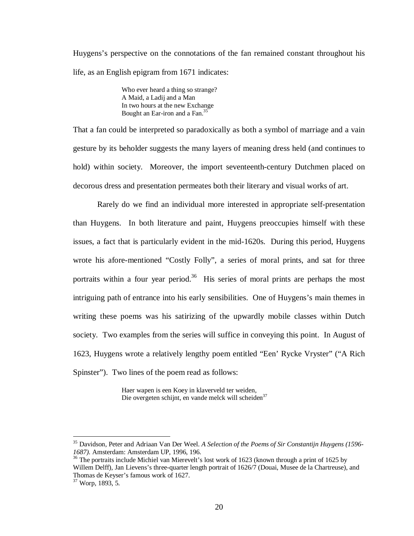Huygens's perspective on the connotations of the fan remained constant throughout his life, as an English epigram from 1671 indicates:

> Who ever heard a thing so strange? A Maid, a Ladij and a Man In two hours at the new Exchange Bought an Ear-iron and a Fan.<sup>35</sup>

That a fan could be interpreted so paradoxically as both a symbol of marriage and a vain gesture by its beholder suggests the many layers of meaning dress held (and continues to hold) within society. Moreover, the import seventeenth-century Dutchmen placed on decorous dress and presentation permeates both their literary and visual works of art.

Rarely do we find an individual more interested in appropriate self-presentation than Huygens. In both literature and paint, Huygens preoccupies himself with these issues, a fact that is particularly evident in the mid-1620s. During this period, Huygens wrote his afore-mentioned "Costly Folly", a series of moral prints, and sat for three portraits within a four year period.<sup>36</sup> His series of moral prints are perhaps the most intriguing path of entrance into his early sensibilities. One of Huygens's main themes in writing these poems was his satirizing of the upwardly mobile classes within Dutch society. Two examples from the series will suffice in conveying this point. In August of 1623, Huygens wrote a relatively lengthy poem entitled "Een' Rycke Vryster" ("A Rich Spinster"). Two lines of the poem read as follows:

> Haer wapen is een Koey in klaverveld ter weiden, Die overgeten schijnt, en vande melck will scheiden<sup>37</sup>

<sup>35</sup> Davidson, Peter and Adriaan Van Der Weel. *A Selection of the Poems of Sir Constantijn Huygens (1596- 1687)*. Amsterdam: Amsterdam UP, 1996, 196.

<sup>&</sup>lt;sup>36</sup> The portraits include Michiel van Mierevelt's lost work of 1623 (known through a print of 1625 by Willem Delff), Jan Lievens's three-quarter length portrait of 1626/7 (Douai, Musee de la Chartreuse), and Thomas de Keyser's famous work of 1627.

 $37$  Worp, 1893, 5.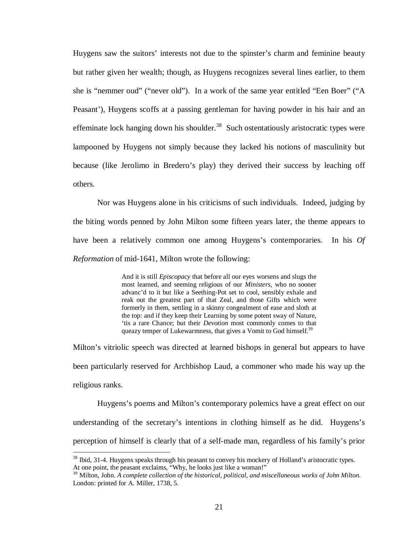Huygens saw the suitors' interests not due to the spinster's charm and feminine beauty but rather given her wealth; though, as Huygens recognizes several lines earlier, to them she is "nemmer oud" ("never old"). In a work of the same year entitled "Een Boer" ("A Peasant'), Huygens scoffs at a passing gentleman for having powder in his hair and an effeminate lock hanging down his shoulder.<sup>38</sup> Such ostentatiously aristocratic types were lampooned by Huygens not simply because they lacked his notions of masculinity but because (like Jerolimo in Bredero's play) they derived their success by leaching off others.

Nor was Huygens alone in his criticisms of such individuals. Indeed, judging by the biting words penned by John Milton some fifteen years later, the theme appears to have been a relatively common one among Huygens's contemporaries. In his *Of Reformation* of mid-1641, Milton wrote the following:

> And it is still *Episcopacy* that before all our eyes worsens and slugs the most learned, and seeming religious of our *Ministers*, who no sooner advanc'd to it but like a Seething-Pot set to cool, sensibly exhale and reak out the greatest part of that Zeal, and those Gifts which were formerly in them, settling in a skinny congealment of ease and sloth at the top: and if they keep their Learning by some potent sway of Nature, 'tis a rare Chance; but their *Devotion* most commonly comes to that queazy temper of Lukewarmness, that gives a Vomit to God himself.<sup>39</sup>

Milton's vitriolic speech was directed at learned bishops in general but appears to have been particularly reserved for Archbishop Laud, a commoner who made his way up the religious ranks.

Huygens's poems and Milton's contemporary polemics have a great effect on our understanding of the secretary's intentions in clothing himself as he did. Huygens's perception of himself is clearly that of a self-made man, regardless of his family's prior

 $38$  Ibid, 31-4. Huygens speaks through his peasant to convey his mockery of Holland's aristocratic types. At one point, the peasant exclaims, "Why, he looks just like a woman!"

<sup>39</sup> Milton, John. *A complete collection of the historical, political, and miscellaneous works of John Milton*. London: printed for A. Miller, 1738, 5.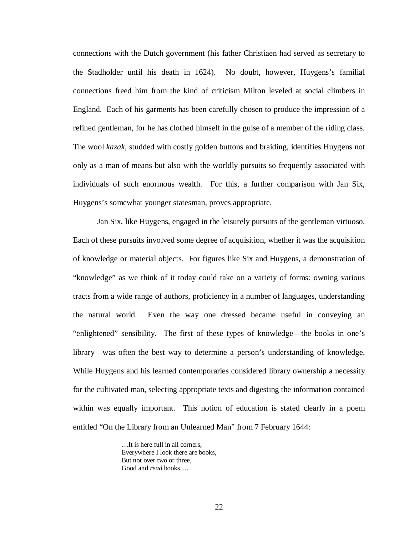connections with the Dutch government (his father Christiaen had served as secretary to the Stadholder until his death in 1624). No doubt, however, Huygens's familial connections freed him from the kind of criticism Milton leveled at social climbers in England. Each of his garments has been carefully chosen to produce the impression of a refined gentleman, for he has clothed himself in the guise of a member of the riding class. The wool *kazak*, studded with costly golden buttons and braiding, identifies Huygens not only as a man of means but also with the worldly pursuits so frequently associated with individuals of such enormous wealth. For this, a further comparison with Jan Six, Huygens's somewhat younger statesman, proves appropriate.

Jan Six, like Huygens, engaged in the leisurely pursuits of the gentleman virtuoso. Each of these pursuits involved some degree of acquisition, whether it was the acquisition of knowledge or material objects. For figures like Six and Huygens, a demonstration of "knowledge" as we think of it today could take on a variety of forms: owning various tracts from a wide range of authors, proficiency in a number of languages, understanding the natural world. Even the way one dressed became useful in conveying an "enlightened" sensibility. The first of these types of knowledge—the books in one's library—was often the best way to determine a person's understanding of knowledge. While Huygens and his learned contemporaries considered library ownership a necessity for the cultivated man, selecting appropriate texts and digesting the information contained within was equally important. This notion of education is stated clearly in a poem entitled "On the Library from an Unlearned Man" from 7 February 1644:

> …It is here full in all corners, Everywhere I look there are books, But not over two or three, Good and *read* books….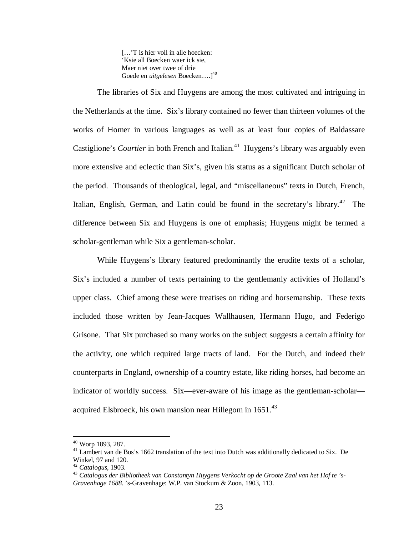[...'T is hier voll in alle hoecken: 'Ksie all Boecken waer ick sie, Maer niet over twee of drie Goede en *uitgelesen* Boecken….]<sup>40</sup>

The libraries of Six and Huygens are among the most cultivated and intriguing in the Netherlands at the time. Six's library contained no fewer than thirteen volumes of the works of Homer in various languages as well as at least four copies of Baldassare Castiglione's *Courtier* in both French and Italian.<sup>41</sup> Huygens's library was arguably even more extensive and eclectic than Six's, given his status as a significant Dutch scholar of the period. Thousands of theological, legal, and "miscellaneous" texts in Dutch, French, Italian, English, German, and Latin could be found in the secretary's library.<sup>42</sup> The difference between Six and Huygens is one of emphasis; Huygens might be termed a scholar-gentleman while Six a gentleman-scholar.

While Huygens's library featured predominantly the erudite texts of a scholar, Six's included a number of texts pertaining to the gentlemanly activities of Holland's upper class. Chief among these were treatises on riding and horsemanship. These texts included those written by Jean-Jacques Wallhausen, Hermann Hugo, and Federigo Grisone. That Six purchased so many works on the subject suggests a certain affinity for the activity, one which required large tracts of land. For the Dutch, and indeed their counterparts in England, ownership of a country estate, like riding horses, had become an indicator of worldly success. Six—ever-aware of his image as the gentleman-scholar acquired Elsbroeck, his own mansion near Hillegom in 1651.<sup>43</sup>

<sup>40</sup> Worp 1893, 287.

<sup>&</sup>lt;sup>41</sup> Lambert van de Bos's 1662 translation of the text into Dutch was additionally dedicated to Six. De Winkel, 97 and 120.

<sup>42</sup> *Catalogus*, 1903.

<sup>43</sup> *Catalogus der Bibliotheek van Constantyn Huygens Verkocht op de Groote Zaal van het Hof te 's-Gravenhage 1688*. 's-Gravenhage: W.P. van Stockum & Zoon, 1903, 113.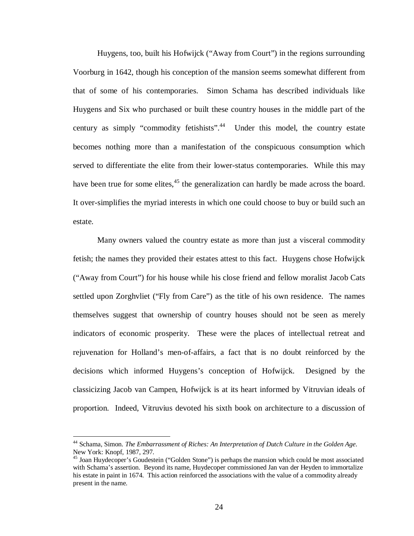Huygens, too, built his Hofwijck ("Away from Court") in the regions surrounding Voorburg in 1642, though his conception of the mansion seems somewhat different from that of some of his contemporaries. Simon Schama has described individuals like Huygens and Six who purchased or built these country houses in the middle part of the century as simply "commodity fetishists".<sup>44</sup> Under this model, the country estate becomes nothing more than a manifestation of the conspicuous consumption which served to differentiate the elite from their lower-status contemporaries. While this may have been true for some elites, $45$  the generalization can hardly be made across the board. It over-simplifies the myriad interests in which one could choose to buy or build such an estate.

Many owners valued the country estate as more than just a visceral commodity fetish; the names they provided their estates attest to this fact. Huygens chose Hofwijck ("Away from Court") for his house while his close friend and fellow moralist Jacob Cats settled upon Zorghvliet ("Fly from Care") as the title of his own residence. The names themselves suggest that ownership of country houses should not be seen as merely indicators of economic prosperity. These were the places of intellectual retreat and rejuvenation for Holland's men-of-affairs, a fact that is no doubt reinforced by the decisions which informed Huygens's conception of Hofwijck. Designed by the classicizing Jacob van Campen, Hofwijck is at its heart informed by Vitruvian ideals of proportion. Indeed, Vitruvius devoted his sixth book on architecture to a discussion of

<sup>44</sup> Schama, Simon. *The Embarrassment of Riches: An Interpretation of Dutch Culture in the Golden Age*. New York: Knopf, 1987, 297.

<sup>45</sup> Joan Huydecoper's Goudestein ("Golden Stone") is perhaps the mansion which could be most associated with Schama's assertion. Beyond its name, Huydecoper commissioned Jan van der Heyden to immortalize his estate in paint in 1674. This action reinforced the associations with the value of a commodity already present in the name.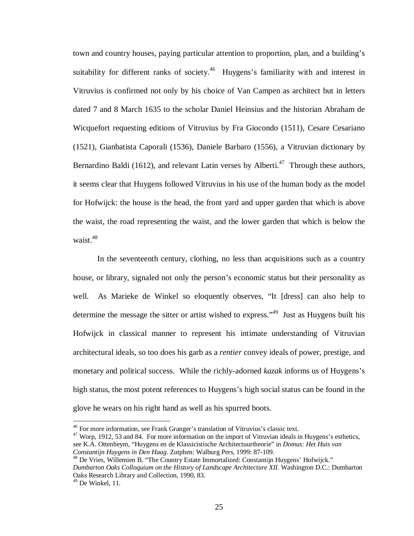town and country houses, paying particular attention to proportion, plan, and a building's suitability for different ranks of society.<sup>46</sup> Huygens's familiarity with and interest in Vitruvius is confirmed not only by his choice of Van Campen as architect but in letters dated 7 and 8 March 1635 to the scholar Daniel Heinsius and the historian Abraham de Wicquefort requesting editions of Vitruvius by Fra Giocondo (1511), Cesare Cesariano (1521), Gianbatista Caporali (1536), Daniele Barbaro (1556), a Vitruvian dictionary by Bernardino Baldi (1612), and relevant Latin verses by Alberti.<sup>47</sup> Through these authors, it seems clear that Huygens followed Vitruvius in his use of the human body as the model for Hofwijck: the house is the head, the front yard and upper garden that which is above the waist, the road representing the waist, and the lower garden that which is below the waist.<sup>48</sup>

In the seventeenth century, clothing, no less than acquisitions such as a country house, or library, signaled not only the person's economic status but their personality as well. As Marieke de Winkel so eloquently observes, "It [dress] can also help to determine the message the sitter or artist wished to express."<sup>49</sup> Just as Huygens built his Hofwijck in classical manner to represent his intimate understanding of Vitruvian architectural ideals, so too does his garb as a *rentier* convey ideals of power, prestige, and monetary and political success. While the richly-adorned *kazak* informs us of Huygens's high status, the most potent references to Huygens's high social status can be found in the glove he wears on his right hand as well as his spurred boots.

<sup>48</sup> De Vries, Willemien B. "The Country Estate Immortalized: Constantijn Huygens' Hofwijck."

<sup>&</sup>lt;sup>46</sup> For more information, see Frank Granger's translation of Vitruvius's classic text.

<sup>&</sup>lt;sup>47</sup> Worp, 1912, 53 and 84. For more information on the import of Vitruvian ideals in Huygens's esthetics, see K.A. Ottenheym, "Huygens en de Klassicistische Architectuurtheorie" in *Domus: Het Huis van Constantijn Huygens in Den Haag*. Zutphen: Walburg Pers, 1999: 87-109.

*Dumbarton Oaks Colloquium on the History of Landscape Architecture XII*. Washington D.C.: Dumbarton Oaks Research Library and Collection, 1990, 83.

 $49$  De Winkel, 11.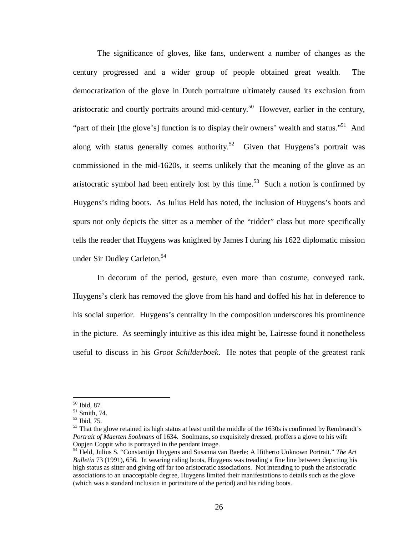The significance of gloves, like fans, underwent a number of changes as the century progressed and a wider group of people obtained great wealth. The democratization of the glove in Dutch portraiture ultimately caused its exclusion from aristocratic and courtly portraits around mid-century.<sup>50</sup> However, earlier in the century, "part of their [the glove's] function is to display their owners' wealth and status."<sup>51</sup> And along with status generally comes authority.<sup>52</sup> Given that Huygens's portrait was commissioned in the mid-1620s, it seems unlikely that the meaning of the glove as an aristocratic symbol had been entirely lost by this time.<sup>53</sup> Such a notion is confirmed by Huygens's riding boots. As Julius Held has noted, the inclusion of Huygens's boots and spurs not only depicts the sitter as a member of the "ridder" class but more specifically tells the reader that Huygens was knighted by James I during his 1622 diplomatic mission under Sir Dudley Carleton.<sup>54</sup>

In decorum of the period, gesture, even more than costume, conveyed rank. Huygens's clerk has removed the glove from his hand and doffed his hat in deference to his social superior. Huygens's centrality in the composition underscores his prominence in the picture. As seemingly intuitive as this idea might be, Lairesse found it nonetheless useful to discuss in his *Groot Schilderboek*. He notes that people of the greatest rank

<sup>50</sup> Ibid, 87.

<sup>51</sup> Smith, 74.

<sup>52</sup> Ibid, 75.

<sup>&</sup>lt;sup>53</sup> That the glove retained its high status at least until the middle of the 1630s is confirmed by Rembrandt's *Portrait of Maerten Soolmans* of 1634. Soolmans, so exquisitely dressed, proffers a glove to his wife Oopjen Coppit who is portrayed in the pendant image.

<sup>54</sup> Held, Julius S. "Constantijn Huygens and Susanna van Baerle: A Hitherto Unknown Portrait." *The Art Bulletin* 73 (1991), 656. In wearing riding boots, Huygens was treading a fine line between depicting his high status as sitter and giving off far too aristocratic associations. Not intending to push the aristocratic associations to an unacceptable degree, Huygens limited their manifestations to details such as the glove (which was a standard inclusion in portraiture of the period) and his riding boots.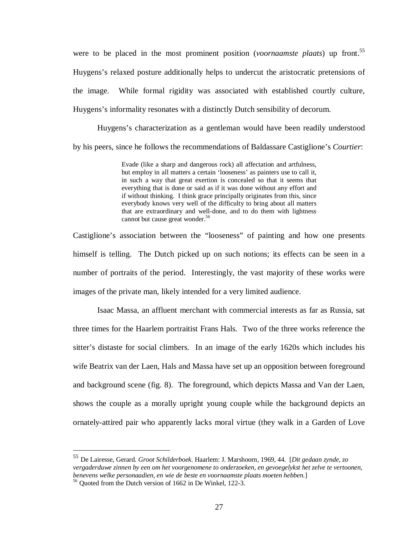were to be placed in the most prominent position (*voornaamste plaats*) up front.<sup>55</sup> Huygens's relaxed posture additionally helps to undercut the aristocratic pretensions of the image. While formal rigidity was associated with established courtly culture, Huygens's informality resonates with a distinctly Dutch sensibility of decorum.

Huygens's characterization as a gentleman would have been readily understood by his peers, since he follows the recommendations of Baldassare Castiglione's *Courtier*:

> Evade (like a sharp and dangerous rock) all affectation and artfulness, but employ in all matters a certain 'looseness' as painters use to call it, in such a way that great exertion is concealed so that it seems that everything that is done or said as if it was done without any effort and if without thinking. I think grace principally originates from this, since everybody knows very well of the difficulty to bring about all matters that are extraordinary and well-done, and to do them with lightness cannot but cause great wonder.<sup>56</sup>

Castiglione's association between the "looseness" of painting and how one presents himself is telling. The Dutch picked up on such notions; its effects can be seen in a number of portraits of the period. Interestingly, the vast majority of these works were images of the private man, likely intended for a very limited audience.

Isaac Massa, an affluent merchant with commercial interests as far as Russia, sat three times for the Haarlem portraitist Frans Hals. Two of the three works reference the sitter's distaste for social climbers. In an image of the early 1620s which includes his wife Beatrix van der Laen, Hals and Massa have set up an opposition between foreground and background scene (fig. 8). The foreground, which depicts Massa and Van der Laen, shows the couple as a morally upright young couple while the background depicts an ornately-attired pair who apparently lacks moral virtue (they walk in a Garden of Love

<sup>55</sup> De Lairesse, Gerard. *Groot Schilderboek*. Haarlem: J. Marshoorn, 1969, 44. [*Dit gedaan zynde, zo vergaderduwe zinnen by een om het voorgenomene to onderzoeken, en gevoegelykst het zelve te vertoonen, benevens welke personaadien, en wie de beste en voornaamste plaats moeten hebben.*]

<sup>56</sup> Quoted from the Dutch version of 1662 in De Winkel, 122-3.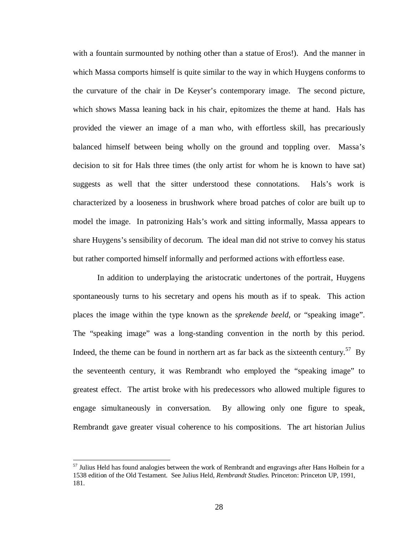with a fountain surmounted by nothing other than a statue of Eros!). And the manner in which Massa comports himself is quite similar to the way in which Huygens conforms to the curvature of the chair in De Keyser's contemporary image. The second picture, which shows Massa leaning back in his chair, epitomizes the theme at hand. Hals has provided the viewer an image of a man who, with effortless skill, has precariously balanced himself between being wholly on the ground and toppling over. Massa's decision to sit for Hals three times (the only artist for whom he is known to have sat) suggests as well that the sitter understood these connotations. Hals's work is characterized by a looseness in brushwork where broad patches of color are built up to model the image. In patronizing Hals's work and sitting informally, Massa appears to share Huygens's sensibility of decorum. The ideal man did not strive to convey his status but rather comported himself informally and performed actions with effortless ease.

In addition to underplaying the aristocratic undertones of the portrait, Huygens spontaneously turns to his secretary and opens his mouth as if to speak. This action places the image within the type known as the *sprekende beeld*, or "speaking image". The "speaking image" was a long-standing convention in the north by this period. Indeed, the theme can be found in northern art as far back as the sixteenth century.<sup>57</sup> By the seventeenth century, it was Rembrandt who employed the "speaking image" to greatest effect. The artist broke with his predecessors who allowed multiple figures to engage simultaneously in conversation. By allowing only one figure to speak, Rembrandt gave greater visual coherence to his compositions. The art historian Julius

<sup>&</sup>lt;sup>57</sup> Julius Held has found analogies between the work of Rembrandt and engravings after Hans Holbein for a 1538 edition of the Old Testament. See Julius Held, *Rembrandt Studies*. Princeton: Princeton UP, 1991, 181.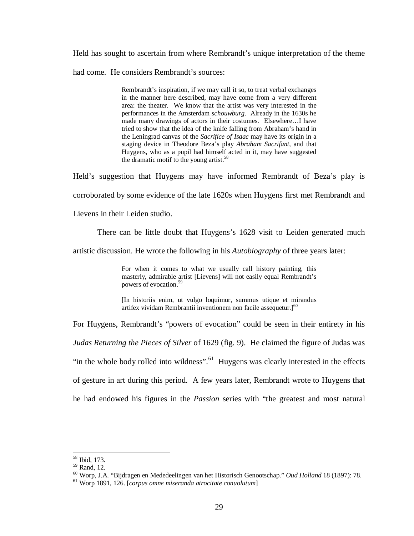Held has sought to ascertain from where Rembrandt's unique interpretation of the theme

had come. He considers Rembrandt's sources:

Rembrandt's inspiration, if we may call it so, to treat verbal exchanges in the manner here described, may have come from a very different area: the theater. We know that the artist was very interested in the performances in the Amsterdam *schouwburg*. Already in the 1630s he made many drawings of actors in their costumes. Elsewhere…I have tried to show that the idea of the knife falling from Abraham's hand in the Leningrad canvas of the *Sacrifice of Isaac* may have its origin in a staging device in Theodore Beza's play *Abraham Sacrifant*, and that Huygens, who as a pupil had himself acted in it, may have suggested the dramatic motif to the young artist.<sup>58</sup>

Held's suggestion that Huygens may have informed Rembrandt of Beza's play is corroborated by some evidence of the late 1620s when Huygens first met Rembrandt and Lievens in their Leiden studio.

There can be little doubt that Huygens's 1628 visit to Leiden generated much

artistic discussion. He wrote the following in his *Autobiography* of three years later:

For when it comes to what we usually call history painting, this masterly, admirable artist [Lievens] will not easily equal Rembrandt's powers of evocation.<sup>59</sup>

[In historiis enim, ut vulgo loquimur, summus utique et mirandus artifex vividam Rembrantii inventionem non facile assequetur. $]^{60}$ 

For Huygens, Rembrandt's "powers of evocation" could be seen in their entirety in his

*Judas Returning the Pieces of Silver* of 1629 (fig. 9). He claimed the figure of Judas was "in the whole body rolled into wildness".<sup>61</sup> Huygens was clearly interested in the effects of gesture in art during this period. A few years later, Rembrandt wrote to Huygens that he had endowed his figures in the *Passion* series with "the greatest and most natural

<sup>&</sup>lt;u>.</u> <sup>58</sup> Ibid, 173.

<sup>59</sup> Rand, 12.

<sup>60</sup> Worp, J.A. "Bijdragen en Mededeelingen van het Historisch Genootschap." *Oud Holland* 18 (1897): 78.

<sup>61</sup> Worp 1891, 126. [*corpus omne miseranda atrocitate conuolutum*]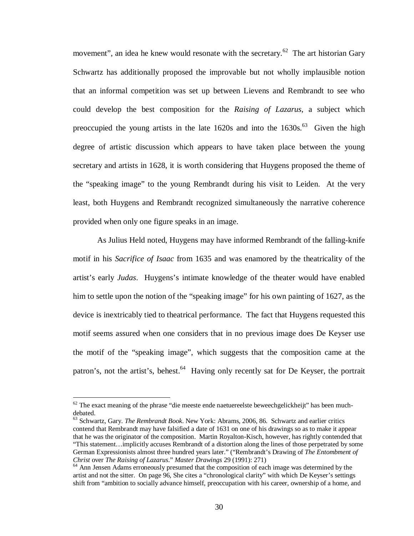movement", an idea he knew would resonate with the secretary.<sup>62</sup> The art historian Gary Schwartz has additionally proposed the improvable but not wholly implausible notion that an informal competition was set up between Lievens and Rembrandt to see who could develop the best composition for the *Raising of Lazarus*, a subject which preoccupied the young artists in the late  $1620s$  and into the  $1630s$ .<sup>63</sup> Given the high degree of artistic discussion which appears to have taken place between the young secretary and artists in 1628, it is worth considering that Huygens proposed the theme of the "speaking image" to the young Rembrandt during his visit to Leiden. At the very least, both Huygens and Rembrandt recognized simultaneously the narrative coherence provided when only one figure speaks in an image.

As Julius Held noted, Huygens may have informed Rembrandt of the falling-knife motif in his *Sacrifice of Isaac* from 1635 and was enamored by the theatricality of the artist's early *Judas*. Huygens's intimate knowledge of the theater would have enabled him to settle upon the notion of the "speaking image" for his own painting of 1627, as the device is inextricably tied to theatrical performance. The fact that Huygens requested this motif seems assured when one considers that in no previous image does De Keyser use the motif of the "speaking image", which suggests that the composition came at the patron's, not the artist's, behest.<sup>64</sup> Having only recently sat for De Keyser, the portrait

 $62$  The exact meaning of the phrase "die meeste ende naetuereelste beweechgelickheijt" has been muchdebated.

<sup>63</sup> Schwartz, Gary. *The Rembrandt Book*. New York: Abrams, 2006, 86. Schwartz and earlier critics contend that Rembrandt may have falsified a date of 1631 on one of his drawings so as to make it appear that he was the originator of the composition. Martin Royalton-Kisch, however, has rightly contended that "This statement…implicitly accuses Rembrandt of a distortion along the lines of those perpetrated by some German Expressionists almost three hundred years later." ("Rembrandt's Drawing of *The Entombment of Christ* over *The Raising of Lazarus*." *Master Drawings* 29 (1991): 271)

<sup>&</sup>lt;sup>64</sup> Ann Jensen Adams erroneously presumed that the composition of each image was determined by the artist and not the sitter. On page 96, She cites a "chronological clarity" with which De Keyser's settings shift from "ambition to socially advance himself, preoccupation with his career, ownership of a home, and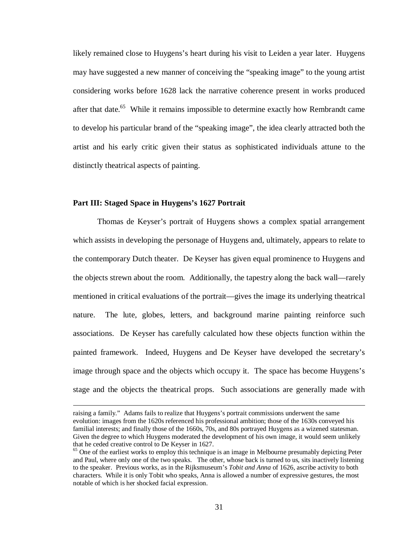likely remained close to Huygens's heart during his visit to Leiden a year later. Huygens may have suggested a new manner of conceiving the "speaking image" to the young artist considering works before 1628 lack the narrative coherence present in works produced after that date.<sup>65</sup> While it remains impossible to determine exactly how Rembrandt came to develop his particular brand of the "speaking image", the idea clearly attracted both the artist and his early critic given their status as sophisticated individuals attune to the distinctly theatrical aspects of painting.

#### **Part III: Staged Space in Huygens's 1627 Portrait**

 $\overline{a}$ 

Thomas de Keyser's portrait of Huygens shows a complex spatial arrangement which assists in developing the personage of Huygens and, ultimately, appears to relate to the contemporary Dutch theater. De Keyser has given equal prominence to Huygens and the objects strewn about the room. Additionally, the tapestry along the back wall—rarely mentioned in critical evaluations of the portrait—gives the image its underlying theatrical nature. The lute, globes, letters, and background marine painting reinforce such associations. De Keyser has carefully calculated how these objects function within the painted framework. Indeed, Huygens and De Keyser have developed the secretary's image through space and the objects which occupy it. The space has become Huygens's stage and the objects the theatrical props. Such associations are generally made with

raising a family." Adams fails to realize that Huygens's portrait commissions underwent the same evolution: images from the 1620s referenced his professional ambition; those of the 1630s conveyed his familial interests; and finally those of the 1660s, 70s, and 80s portrayed Huygens as a wizened statesman. Given the degree to which Huygens moderated the development of his own image, it would seem unlikely that he ceded creative control to De Keyser in 1627.

<sup>&</sup>lt;sup>65</sup> One of the earliest works to employ this technique is an image in Melbourne presumably depicting Peter and Paul, where only one of the two speaks. The other, whose back is turned to us, sits inactively listening to the speaker. Previous works, as in the Rijksmuseum's *Tobit and Anna* of 1626, ascribe activity to both characters. While it is only Tobit who speaks, Anna is allowed a number of expressive gestures, the most notable of which is her shocked facial expression.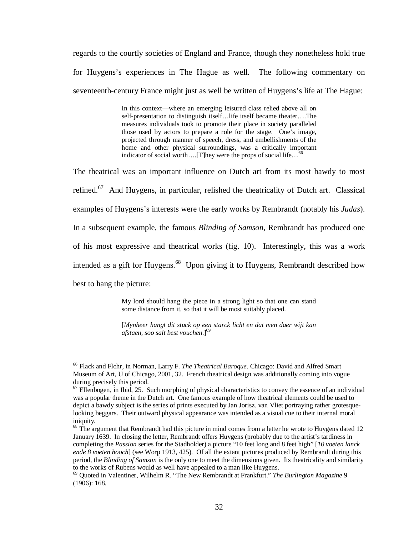regards to the courtly societies of England and France, though they nonetheless hold true for Huygens's experiences in The Hague as well. The following commentary on seventeenth-century France might just as well be written of Huygens's life at The Hague:

> In this context—where an emerging leisured class relied above all on self-presentation to distinguish itself…life itself became theater….The measures individuals took to promote their place in society paralleled those used by actors to prepare a role for the stage. One's image, projected through manner of speech, dress, and embellishments of the home and other physical surroundings, was a critically important indicator of social worth....[T]hey were the props of social life...<sup>66</sup>

The theatrical was an important influence on Dutch art from its most bawdy to most refined.<sup>67</sup> And Huygens, in particular, relished the theatricality of Dutch art. Classical examples of Huygens's interests were the early works by Rembrandt (notably his *Judas*). In a subsequent example, the famous *Blinding of Samson*, Rembrandt has produced one of his most expressive and theatrical works (fig. 10). Interestingly, this was a work intended as a gift for Huygens.<sup>68</sup> Upon giving it to Huygens, Rembrandt described how best to hang the picture:

> My lord should hang the piece in a strong light so that one can stand some distance from it, so that it will be most suitably placed.

> [*Mynheer hangt dit stuck op een starck licht en dat men daer wijt kan afstaen, soo salt best vouchen*.]<sup>69</sup>

<sup>&</sup>lt;u>.</u> <sup>66</sup> Flack and Flohr, in Norman, Larry F. *The Theatrical Baroque*. Chicago: David and Alfred Smart Museum of Art, U of Chicago, 2001, 32. French theatrical design was additionally coming into vogue during precisely this period.

 $67$  Ellenbogen, in Ibid, 25. Such morphing of physical characteristics to convey the essence of an individual was a popular theme in the Dutch art. One famous example of how theatrical elements could be used to depict a bawdy subject is the series of prints executed by Jan Jorisz. van Vliet portraying rather grotesquelooking beggars. Their outward physical appearance was intended as a visual cue to their internal moral iniquity.

 $68$  The argument that Rembrandt had this picture in mind comes from a letter he wrote to Huygens dated 12 January 1639. In closing the letter, Rembrandt offers Huygens (probably due to the artist's tardiness in completing the *Passion* series for the Stadholder) a picture "10 feet long and 8 feet high" [*10 voeten lanck ende 8 voeten hooch*] (see Worp 1913, 425). Of all the extant pictures produced by Rembrandt during this period, the *Blinding of Samson* is the only one to meet the dimensions given. Its theatricality and similarity to the works of Rubens would as well have appealed to a man like Huygens.

<sup>69</sup> Quoted in Valentiner, Wilhelm R. "The New Rembrandt at Frankfurt." *The Burlington Magazine* 9 (1906): 168.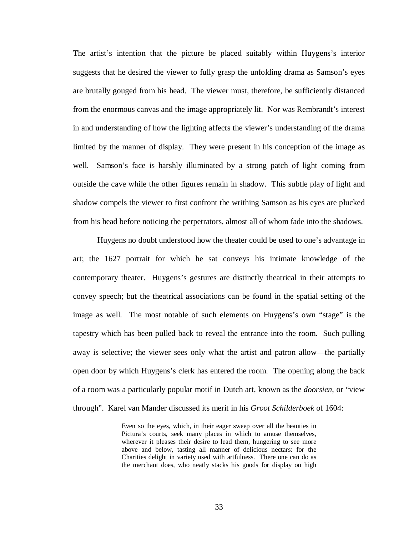The artist's intention that the picture be placed suitably within Huygens's interior suggests that he desired the viewer to fully grasp the unfolding drama as Samson's eyes are brutally gouged from his head. The viewer must, therefore, be sufficiently distanced from the enormous canvas and the image appropriately lit. Nor was Rembrandt's interest in and understanding of how the lighting affects the viewer's understanding of the drama limited by the manner of display. They were present in his conception of the image as well. Samson's face is harshly illuminated by a strong patch of light coming from outside the cave while the other figures remain in shadow. This subtle play of light and shadow compels the viewer to first confront the writhing Samson as his eyes are plucked from his head before noticing the perpetrators, almost all of whom fade into the shadows.

Huygens no doubt understood how the theater could be used to one's advantage in art; the 1627 portrait for which he sat conveys his intimate knowledge of the contemporary theater. Huygens's gestures are distinctly theatrical in their attempts to convey speech; but the theatrical associations can be found in the spatial setting of the image as well. The most notable of such elements on Huygens's own "stage" is the tapestry which has been pulled back to reveal the entrance into the room. Such pulling away is selective; the viewer sees only what the artist and patron allow—the partially open door by which Huygens's clerk has entered the room. The opening along the back of a room was a particularly popular motif in Dutch art, known as the *doorsien*, or "view through". Karel van Mander discussed its merit in his *Groot Schilderboek* of 1604:

> Even so the eyes, which, in their eager sweep over all the beauties in Pictura's courts, seek many places in which to amuse themselves, wherever it pleases their desire to lead them, hungering to see more above and below, tasting all manner of delicious nectars: for the Charities delight in variety used with artfulness. There one can do as the merchant does, who neatly stacks his goods for display on high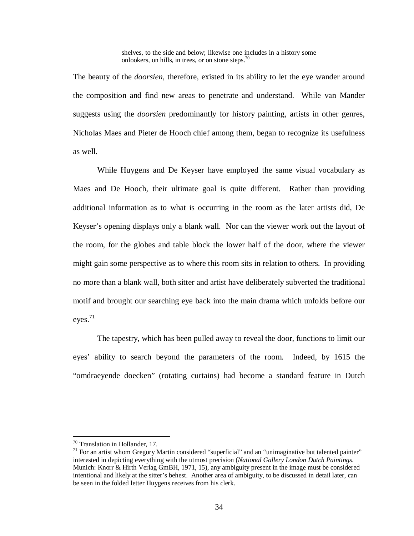shelves, to the side and below; likewise one includes in a history some onlookers, on hills, in trees, or on stone steps.<sup>70</sup>

The beauty of the *doorsien*, therefore, existed in its ability to let the eye wander around the composition and find new areas to penetrate and understand. While van Mander suggests using the *doorsien* predominantly for history painting, artists in other genres, Nicholas Maes and Pieter de Hooch chief among them, began to recognize its usefulness as well.

While Huygens and De Keyser have employed the same visual vocabulary as Maes and De Hooch, their ultimate goal is quite different. Rather than providing additional information as to what is occurring in the room as the later artists did, De Keyser's opening displays only a blank wall. Nor can the viewer work out the layout of the room, for the globes and table block the lower half of the door, where the viewer might gain some perspective as to where this room sits in relation to others. In providing no more than a blank wall, both sitter and artist have deliberately subverted the traditional motif and brought our searching eye back into the main drama which unfolds before our eyes. $71$ 

The tapestry, which has been pulled away to reveal the door, functions to limit our eyes' ability to search beyond the parameters of the room. Indeed, by 1615 the "omdraeyende doecken" (rotating curtains) had become a standard feature in Dutch

<sup>70</sup> Translation in Hollander, 17.

 $71$  For an artist whom Gregory Martin considered "superficial" and an "unimaginative but talented painter" interested in depicting everything with the utmost precision (*National Gallery London Dutch Paintings*. Munich: Knorr & Hirth Verlag GmBH, 1971, 15), any ambiguity present in the image must be considered intentional and likely at the sitter's behest. Another area of ambiguity, to be discussed in detail later, can be seen in the folded letter Huygens receives from his clerk.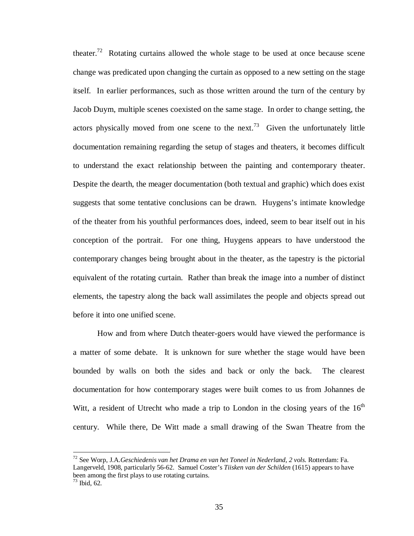theater.<sup>72</sup> Rotating curtains allowed the whole stage to be used at once because scene change was predicated upon changing the curtain as opposed to a new setting on the stage itself. In earlier performances, such as those written around the turn of the century by Jacob Duym, multiple scenes coexisted on the same stage. In order to change setting, the actors physically moved from one scene to the next.<sup>73</sup> Given the unfortunately little documentation remaining regarding the setup of stages and theaters, it becomes difficult to understand the exact relationship between the painting and contemporary theater. Despite the dearth, the meager documentation (both textual and graphic) which does exist suggests that some tentative conclusions can be drawn. Huygens's intimate knowledge of the theater from his youthful performances does, indeed, seem to bear itself out in his conception of the portrait. For one thing, Huygens appears to have understood the contemporary changes being brought about in the theater, as the tapestry is the pictorial equivalent of the rotating curtain. Rather than break the image into a number of distinct elements, the tapestry along the back wall assimilates the people and objects spread out before it into one unified scene.

How and from where Dutch theater-goers would have viewed the performance is a matter of some debate. It is unknown for sure whether the stage would have been bounded by walls on both the sides and back or only the back. The clearest documentation for how contemporary stages were built comes to us from Johannes de Witt, a resident of Utrecht who made a trip to London in the closing years of the  $16<sup>th</sup>$ century. While there, De Witt made a small drawing of the Swan Theatre from the

<sup>72</sup> See Worp, J.A.*Geschiedenis van het Drama en van het Toneel in Nederland, 2 vols.* Rotterdam: Fa. Langerveld, 1908, particularly 56-62. Samuel Coster's *Tiisken van der Schilden* (1615) appears to have been among the first plays to use rotating curtains.

 $73$  Ibid, 62.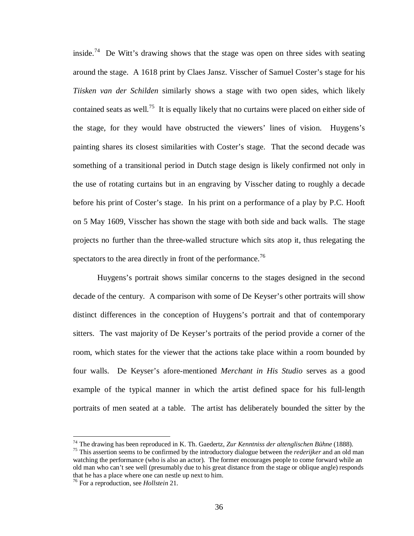inside.<sup>74</sup> De Witt's drawing shows that the stage was open on three sides with seating around the stage. A 1618 print by Claes Jansz. Visscher of Samuel Coster's stage for his *Tiisken van der Schilden* similarly shows a stage with two open sides, which likely contained seats as well.<sup>75</sup> It is equally likely that no curtains were placed on either side of the stage, for they would have obstructed the viewers' lines of vision. Huygens's painting shares its closest similarities with Coster's stage. That the second decade was something of a transitional period in Dutch stage design is likely confirmed not only in the use of rotating curtains but in an engraving by Visscher dating to roughly a decade before his print of Coster's stage. In his print on a performance of a play by P.C. Hooft on 5 May 1609, Visscher has shown the stage with both side and back walls. The stage projects no further than the three-walled structure which sits atop it, thus relegating the spectators to the area directly in front of the performance.<sup>76</sup>

Huygens's portrait shows similar concerns to the stages designed in the second decade of the century. A comparison with some of De Keyser's other portraits will show distinct differences in the conception of Huygens's portrait and that of contemporary sitters. The vast majority of De Keyser's portraits of the period provide a corner of the room, which states for the viewer that the actions take place within a room bounded by four walls. De Keyser's afore-mentioned *Merchant in His Studio* serves as a good example of the typical manner in which the artist defined space for his full-length portraits of men seated at a table. The artist has deliberately bounded the sitter by the

<sup>74</sup> The drawing has been reproduced in K. Th. Gaedertz, *Zur Kenntniss der altenglischen Bühne* (1888).

<sup>75</sup> This assertion seems to be confirmed by the introductory dialogue between the *rederijker* and an old man watching the performance (who is also an actor). The former encourages people to come forward while an old man who can't see well (presumably due to his great distance from the stage or oblique angle) responds that he has a place where one can nestle up next to him.

<sup>76</sup> For a reproduction, see *Hollstein* 21.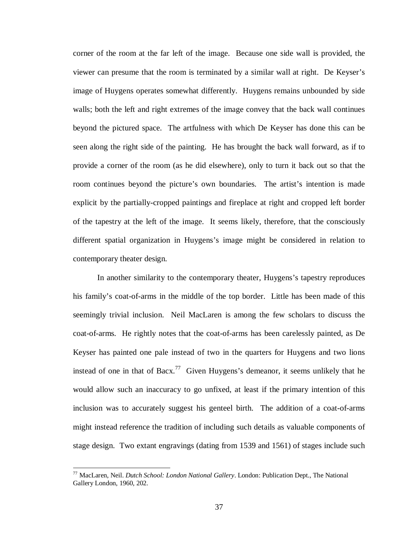corner of the room at the far left of the image. Because one side wall is provided, the viewer can presume that the room is terminated by a similar wall at right. De Keyser's image of Huygens operates somewhat differently. Huygens remains unbounded by side walls; both the left and right extremes of the image convey that the back wall continues beyond the pictured space. The artfulness with which De Keyser has done this can be seen along the right side of the painting. He has brought the back wall forward, as if to provide a corner of the room (as he did elsewhere), only to turn it back out so that the room continues beyond the picture's own boundaries. The artist's intention is made explicit by the partially-cropped paintings and fireplace at right and cropped left border of the tapestry at the left of the image. It seems likely, therefore, that the consciously different spatial organization in Huygens's image might be considered in relation to contemporary theater design.

In another similarity to the contemporary theater, Huygens's tapestry reproduces his family's coat-of-arms in the middle of the top border. Little has been made of this seemingly trivial inclusion. Neil MacLaren is among the few scholars to discuss the coat-of-arms. He rightly notes that the coat-of-arms has been carelessly painted, as De Keyser has painted one pale instead of two in the quarters for Huygens and two lions instead of one in that of Bacx.<sup>77</sup> Given Huygens's demeanor, it seems unlikely that he would allow such an inaccuracy to go unfixed, at least if the primary intention of this inclusion was to accurately suggest his genteel birth. The addition of a coat-of-arms might instead reference the tradition of including such details as valuable components of stage design. Two extant engravings (dating from 1539 and 1561) of stages include such

<sup>77</sup> MacLaren, Neil. *Dutch School: London National Gallery*. London: Publication Dept., The National Gallery London, 1960, 202.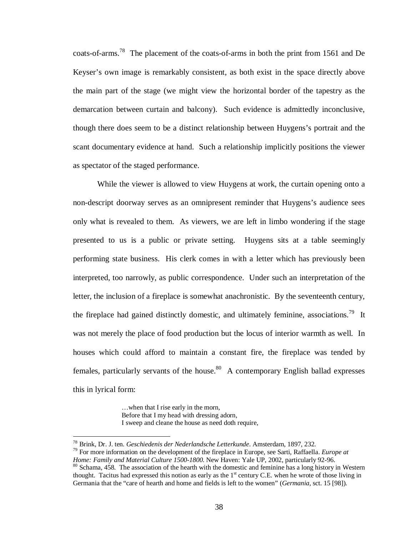coats-of-arms.<sup>78</sup> The placement of the coats-of-arms in both the print from 1561 and De Keyser's own image is remarkably consistent, as both exist in the space directly above the main part of the stage (we might view the horizontal border of the tapestry as the demarcation between curtain and balcony). Such evidence is admittedly inconclusive, though there does seem to be a distinct relationship between Huygens's portrait and the scant documentary evidence at hand. Such a relationship implicitly positions the viewer as spectator of the staged performance.

While the viewer is allowed to view Huygens at work, the curtain opening onto a non-descript doorway serves as an omnipresent reminder that Huygens's audience sees only what is revealed to them. As viewers, we are left in limbo wondering if the stage presented to us is a public or private setting. Huygens sits at a table seemingly performing state business. His clerk comes in with a letter which has previously been interpreted, too narrowly, as public correspondence. Under such an interpretation of the letter, the inclusion of a fireplace is somewhat anachronistic. By the seventeenth century, the fireplace had gained distinctly domestic, and ultimately feminine, associations.<sup>79</sup> It was not merely the place of food production but the locus of interior warmth as well. In houses which could afford to maintain a constant fire, the fireplace was tended by females, particularly servants of the house.<sup>80</sup> A contemporary English ballad expresses this in lyrical form:

> …when that I rise early in the morn, Before that I my head with dressing adorn, I sweep and cleane the house as need doth require,

<sup>78</sup> Brink, Dr. J. ten. *Geschiedenis der Nederlandsche Letterkunde*. Amsterdam, 1897, 232.

<sup>79</sup> For more information on the development of the fireplace in Europe, see Sarti, Raffaella. *Europe at Home: Family and Material Culture 1500-1800*. New Haven: Yale UP, 2002, particularly 92-96.  $80$  Schama, 458. The association of the hearth with the domestic and feminine has a long history in Western thought. Tacitus had expressed this notion as early as the 1<sup>st</sup> century C.E. when he wrote of those living in Germania that the "care of hearth and home and fields is left to the women" (*Germania*, sct. 15 [98]).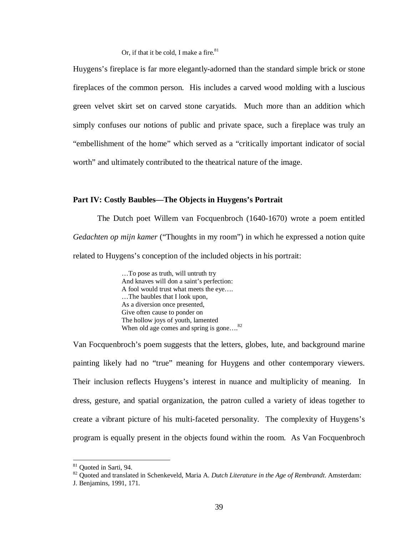Or, if that it be cold. I make a fire. $81$ 

Huygens's fireplace is far more elegantly-adorned than the standard simple brick or stone fireplaces of the common person. His includes a carved wood molding with a luscious green velvet skirt set on carved stone caryatids. Much more than an addition which simply confuses our notions of public and private space, such a fireplace was truly an "embellishment of the home" which served as a "critically important indicator of social worth" and ultimately contributed to the theatrical nature of the image.

### **Part IV: Costly Baubles—The Objects in Huygens's Portrait**

The Dutch poet Willem van Focquenbroch (1640-1670) wrote a poem entitled *Gedachten op mijn kamer* ("Thoughts in my room") in which he expressed a notion quite related to Huygens's conception of the included objects in his portrait:

> …To pose as truth, will untruth try And knaves will don a saint's perfection: A fool would trust what meets the eye…. …The baubles that I look upon, As a diversion once presented, Give often cause to ponder on The hollow joys of youth, lamented When old age comes and spring is gone....<sup>82</sup>

Van Focquenbroch's poem suggests that the letters, globes, lute, and background marine painting likely had no "true" meaning for Huygens and other contemporary viewers. Their inclusion reflects Huygens's interest in nuance and multiplicity of meaning. In dress, gesture, and spatial organization, the patron culled a variety of ideas together to create a vibrant picture of his multi-faceted personality. The complexity of Huygens's program is equally present in the objects found within the room. As Van Focquenbroch

<sup>&</sup>lt;sup>81</sup> Quoted in Sarti, 94.

<sup>82</sup> Quoted and translated in Schenkeveld, Maria A. *Dutch Literature in the Age of Rembrandt*. Amsterdam:

J. Benjamins, 1991, 171.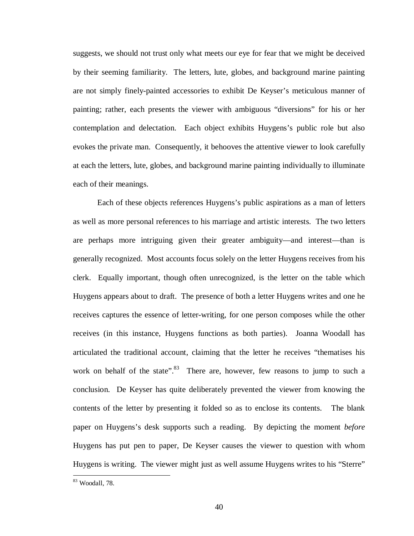suggests, we should not trust only what meets our eye for fear that we might be deceived by their seeming familiarity. The letters, lute, globes, and background marine painting are not simply finely-painted accessories to exhibit De Keyser's meticulous manner of painting; rather, each presents the viewer with ambiguous "diversions" for his or her contemplation and delectation. Each object exhibits Huygens's public role but also evokes the private man. Consequently, it behooves the attentive viewer to look carefully at each the letters, lute, globes, and background marine painting individually to illuminate each of their meanings.

Each of these objects references Huygens's public aspirations as a man of letters as well as more personal references to his marriage and artistic interests. The two letters are perhaps more intriguing given their greater ambiguity—and interest—than is generally recognized. Most accounts focus solely on the letter Huygens receives from his clerk. Equally important, though often unrecognized, is the letter on the table which Huygens appears about to draft. The presence of both a letter Huygens writes and one he receives captures the essence of letter-writing, for one person composes while the other receives (in this instance, Huygens functions as both parties). Joanna Woodall has articulated the traditional account, claiming that the letter he receives "thematises his work on behalf of the state".<sup>83</sup> There are, however, few reasons to jump to such a conclusion. De Keyser has quite deliberately prevented the viewer from knowing the contents of the letter by presenting it folded so as to enclose its contents. The blank paper on Huygens's desk supports such a reading. By depicting the moment *before*  Huygens has put pen to paper, De Keyser causes the viewer to question with whom Huygens is writing. The viewer might just as well assume Huygens writes to his "Sterre"

<sup>83</sup> Woodall, 78.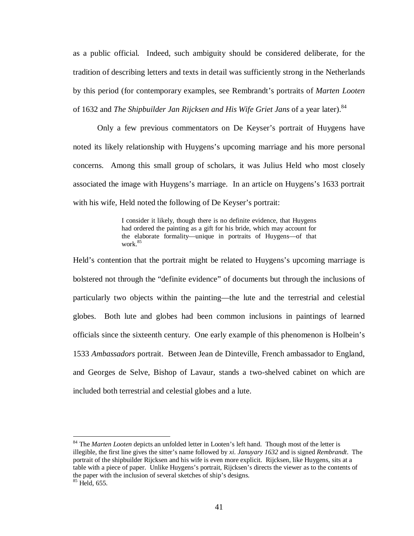as a public official. Indeed, such ambiguity should be considered deliberate, for the tradition of describing letters and texts in detail was sufficiently strong in the Netherlands by this period (for contemporary examples, see Rembrandt's portraits of *Marten Looten*  of 1632 and *The Shipbuilder Jan Rijcksen and His Wife Griet Jans* of a year later).<sup>84</sup>

Only a few previous commentators on De Keyser's portrait of Huygens have noted its likely relationship with Huygens's upcoming marriage and his more personal concerns. Among this small group of scholars, it was Julius Held who most closely associated the image with Huygens's marriage. In an article on Huygens's 1633 portrait with his wife, Held noted the following of De Keyser's portrait:

> I consider it likely, though there is no definite evidence, that Huygens had ordered the painting as a gift for his bride, which may account for the elaborate formality—unique in portraits of Huygens—of that work.<sup>85</sup>

Held's contention that the portrait might be related to Huygens's upcoming marriage is bolstered not through the "definite evidence" of documents but through the inclusions of particularly two objects within the painting—the lute and the terrestrial and celestial globes. Both lute and globes had been common inclusions in paintings of learned officials since the sixteenth century. One early example of this phenomenon is Holbein's 1533 *Ambassadors* portrait. Between Jean de Dinteville, French ambassador to England, and Georges de Selve, Bishop of Lavaur, stands a two-shelved cabinet on which are included both terrestrial and celestial globes and a lute.

<sup>84</sup> The *Marten Looten* depicts an unfolded letter in Looten's left hand. Though most of the letter is illegible, the first line gives the sitter's name followed by *xi. Januyary 1632* and is signed *Rembrandt*. The portrait of the shipbuilder Rijcksen and his wife is even more explicit. Rijcksen, like Huygens, sits at a table with a piece of paper. Unlike Huygens's portrait, Rijcksen's directs the viewer as to the contents of the paper with the inclusion of several sketches of ship's designs. <sup>85</sup> Held, 655.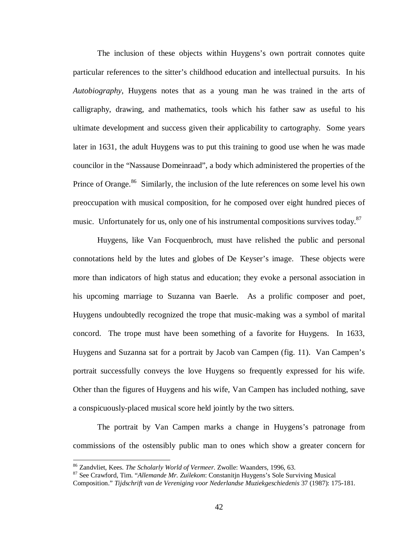The inclusion of these objects within Huygens's own portrait connotes quite particular references to the sitter's childhood education and intellectual pursuits. In his *Autobiography*, Huygens notes that as a young man he was trained in the arts of calligraphy, drawing, and mathematics, tools which his father saw as useful to his ultimate development and success given their applicability to cartography. Some years later in 1631, the adult Huygens was to put this training to good use when he was made councilor in the "Nassause Domeinraad", a body which administered the properties of the Prince of Orange.<sup>86</sup> Similarly, the inclusion of the lute references on some level his own preoccupation with musical composition, for he composed over eight hundred pieces of music. Unfortunately for us, only one of his instrumental compositions survives today.<sup>87</sup>

Huygens, like Van Focquenbroch, must have relished the public and personal connotations held by the lutes and globes of De Keyser's image. These objects were more than indicators of high status and education; they evoke a personal association in his upcoming marriage to Suzanna van Baerle. As a prolific composer and poet, Huygens undoubtedly recognized the trope that music-making was a symbol of marital concord. The trope must have been something of a favorite for Huygens. In 1633, Huygens and Suzanna sat for a portrait by Jacob van Campen (fig. 11). Van Campen's portrait successfully conveys the love Huygens so frequently expressed for his wife. Other than the figures of Huygens and his wife, Van Campen has included nothing, save a conspicuously-placed musical score held jointly by the two sitters.

The portrait by Van Campen marks a change in Huygens's patronage from commissions of the ostensibly public man to ones which show a greater concern for

<sup>86</sup> Zandvliet, Kees. *The Scholarly World of Vermeer*. Zwolle: Waanders, 1996, 63.

<sup>87</sup> See Crawford, Tim. "*Allemande Mr. Zuilekom*: Constanitjn Huygens's Sole Surviving Musical Composition." *Tijdschrift van de Vereniging voor Nederlandse Muziekgeschiedenis* 37 (1987): 175-181.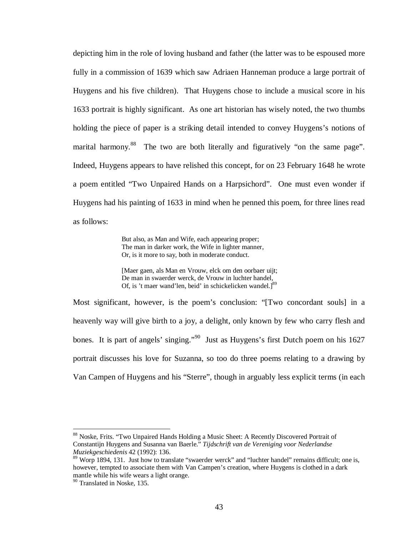depicting him in the role of loving husband and father (the latter was to be espoused more fully in a commission of 1639 which saw Adriaen Hanneman produce a large portrait of Huygens and his five children). That Huygens chose to include a musical score in his 1633 portrait is highly significant. As one art historian has wisely noted, the two thumbs holding the piece of paper is a striking detail intended to convey Huygens's notions of marital harmony.<sup>88</sup> The two are both literally and figuratively "on the same page". Indeed, Huygens appears to have relished this concept, for on 23 February 1648 he wrote a poem entitled "Two Unpaired Hands on a Harpsichord". One must even wonder if Huygens had his painting of 1633 in mind when he penned this poem, for three lines read as follows:

> But also, as Man and Wife, each appearing proper; The man in darker work, the Wife in lighter manner, Or, is it more to say, both in moderate conduct.

[Maer gaen, als Man en Vrouw, elck om den oorbaer uijt; De man in swaerder werck, de Vrouw in luchter handel, Of, is 't maer wand'len, beid' in schickelicken wandel.<sup>[89</sup>]

Most significant, however, is the poem's conclusion: "[Two concordant souls] in a heavenly way will give birth to a joy, a delight, only known by few who carry flesh and bones. It is part of angels' singing."<sup>90</sup> Just as Huygens's first Dutch poem on his 1627 portrait discusses his love for Suzanna, so too do three poems relating to a drawing by Van Campen of Huygens and his "Sterre", though in arguably less explicit terms (in each

<sup>&</sup>lt;sup>88</sup> Noske, Frits. "Two Unpaired Hands Holding a Music Sheet: A Recently Discovered Portrait of Constantijn Huygens and Susanna van Baerle." *Tijdschrift van de Vereniging voor Nederlandse Muziekgeschiedenis* 42 (1992): 136.

<sup>&</sup>lt;sup>89</sup> Worp 1894, 131. Just how to translate "swaerder werck" and "luchter handel" remains difficult; one is, however, tempted to associate them with Van Campen's creation, where Huygens is clothed in a dark mantle while his wife wears a light orange.

<sup>90</sup> Translated in Noske, 135.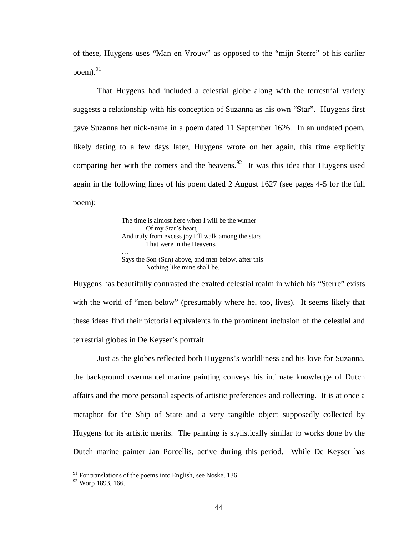of these, Huygens uses "Man en Vrouw" as opposed to the "mijn Sterre" of his earlier poem $^{91}$ 

That Huygens had included a celestial globe along with the terrestrial variety suggests a relationship with his conception of Suzanna as his own "Star". Huygens first gave Suzanna her nick-name in a poem dated 11 September 1626. In an undated poem, likely dating to a few days later, Huygens wrote on her again, this time explicitly comparing her with the comets and the heavens.<sup>92</sup> It was this idea that Huygens used again in the following lines of his poem dated 2 August 1627 (see pages 4-5 for the full poem):

> The time is almost here when I will be the winner Of my Star's heart, And truly from excess joy I'll walk among the stars That were in the Heavens, … Says the Son (Sun) above, and men below, after this Nothing like mine shall be.

Huygens has beautifully contrasted the exalted celestial realm in which his "Sterre" exists with the world of "men below" (presumably where he, too, lives). It seems likely that these ideas find their pictorial equivalents in the prominent inclusion of the celestial and terrestrial globes in De Keyser's portrait.

Just as the globes reflected both Huygens's worldliness and his love for Suzanna, the background overmantel marine painting conveys his intimate knowledge of Dutch affairs and the more personal aspects of artistic preferences and collecting. It is at once a metaphor for the Ship of State and a very tangible object supposedly collected by Huygens for its artistic merits. The painting is stylistically similar to works done by the Dutch marine painter Jan Porcellis, active during this period. While De Keyser has

 $91$  For translations of the poems into English, see Noske, 136.

<sup>92</sup> Worp 1893, 166.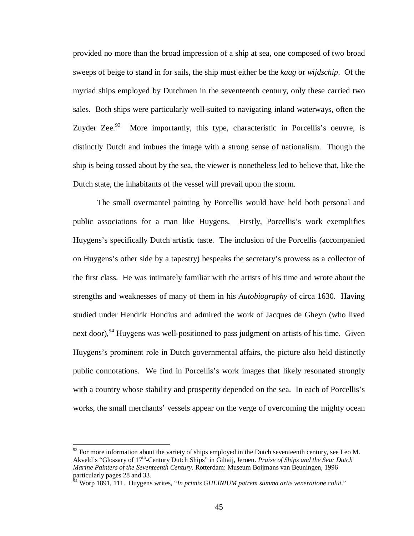provided no more than the broad impression of a ship at sea, one composed of two broad sweeps of beige to stand in for sails, the ship must either be the *kaag* or *wijdschip*. Of the myriad ships employed by Dutchmen in the seventeenth century, only these carried two sales. Both ships were particularly well-suited to navigating inland waterways, often the Zuyder Zee. $93$  More importantly, this type, characteristic in Porcellis's oeuvre, is distinctly Dutch and imbues the image with a strong sense of nationalism. Though the ship is being tossed about by the sea, the viewer is nonetheless led to believe that, like the Dutch state, the inhabitants of the vessel will prevail upon the storm.

The small overmantel painting by Porcellis would have held both personal and public associations for a man like Huygens. Firstly, Porcellis's work exemplifies Huygens's specifically Dutch artistic taste. The inclusion of the Porcellis (accompanied on Huygens's other side by a tapestry) bespeaks the secretary's prowess as a collector of the first class. He was intimately familiar with the artists of his time and wrote about the strengths and weaknesses of many of them in his *Autobiography* of circa 1630. Having studied under Hendrik Hondius and admired the work of Jacques de Gheyn (who lived next door),  $94$  Huygens was well-positioned to pass judgment on artists of his time. Given Huygens's prominent role in Dutch governmental affairs, the picture also held distinctly public connotations. We find in Porcellis's work images that likely resonated strongly with a country whose stability and prosperity depended on the sea. In each of Porcellis's works, the small merchants' vessels appear on the verge of overcoming the mighty ocean

 $93$  For more information about the variety of ships employed in the Dutch seventeenth century, see Leo M. Akveld's "Glossary of 17th-Century Dutch Ships" in Giltaij, Jeroen. *Praise of Ships and the Sea: Dutch Marine Painters of the Seventeenth Century*. Rotterdam: Museum Boijmans van Beuningen, 1996 particularly pages 28 and 33.

<sup>&</sup>lt;sup>54</sup> Worp 1891, 111. Huygens writes, "*In primis GHEINIUM patrem summa artis veneratione colui.*"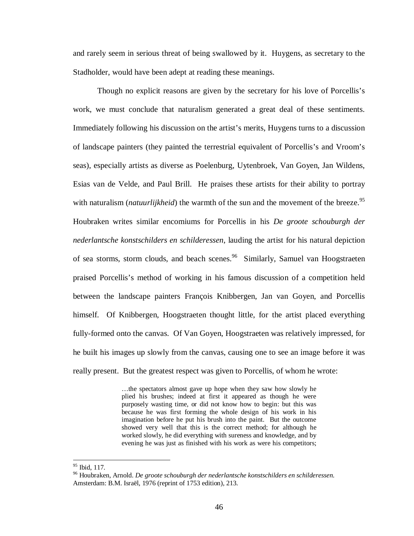and rarely seem in serious threat of being swallowed by it. Huygens, as secretary to the Stadholder, would have been adept at reading these meanings.

Though no explicit reasons are given by the secretary for his love of Porcellis's work, we must conclude that naturalism generated a great deal of these sentiments. Immediately following his discussion on the artist's merits, Huygens turns to a discussion of landscape painters (they painted the terrestrial equivalent of Porcellis's and Vroom's seas), especially artists as diverse as Poelenburg, Uytenbroek, Van Goyen, Jan Wildens, Esias van de Velde, and Paul Brill. He praises these artists for their ability to portray with naturalism (*natuurlijkheid*) the warmth of the sun and the movement of the breeze.<sup>95</sup> Houbraken writes similar encomiums for Porcellis in his *De groote schouburgh der nederlantsche konstschilders en schilderessen*, lauding the artist for his natural depiction of sea storms, storm clouds, and beach scenes.<sup>96</sup> Similarly, Samuel van Hoogstraeten praised Porcellis's method of working in his famous discussion of a competition held between the landscape painters François Knibbergen, Jan van Goyen, and Porcellis himself. Of Knibbergen, Hoogstraeten thought little, for the artist placed everything fully-formed onto the canvas. Of Van Goyen, Hoogstraeten was relatively impressed, for he built his images up slowly from the canvas, causing one to see an image before it was really present. But the greatest respect was given to Porcellis, of whom he wrote:

> …the spectators almost gave up hope when they saw how slowly he plied his brushes; indeed at first it appeared as though he were purposely wasting time, or did not know how to begin: but this was because he was first forming the whole design of his work in his imagination before he put his brush into the paint. But the outcome showed very well that this is the correct method; for although he worked slowly, he did everything with sureness and knowledge, and by evening he was just as finished with his work as were his competitors;

<sup>&</sup>lt;sup>95</sup> Ibid, 117.

<sup>96</sup> Houbraken, Arnold. *De groote schouburgh der nederlantsche konstschilders en schilderessen*. Amsterdam: B.M. Israël, 1976 (reprint of 1753 edition), 213.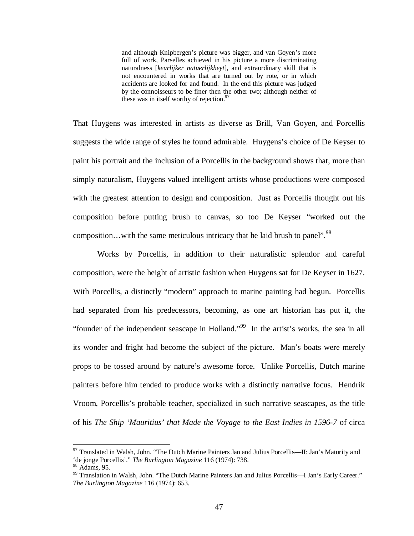and although Knipbergen's picture was bigger, and van Goyen's more full of work, Parselles achieved in his picture a more discriminating naturalness [*keurlijker natuerlijkheyt*], and extraordinary skill that is not encountered in works that are turned out by rote, or in which accidents are looked for and found. In the end this picture was judged by the connoisseurs to be finer then the other two; although neither of these was in itself worthy of rejection.<sup>97</sup>

That Huygens was interested in artists as diverse as Brill, Van Goyen, and Porcellis suggests the wide range of styles he found admirable. Huygens's choice of De Keyser to paint his portrait and the inclusion of a Porcellis in the background shows that, more than simply naturalism, Huygens valued intelligent artists whose productions were composed with the greatest attention to design and composition. Just as Porcellis thought out his composition before putting brush to canvas, so too De Keyser "worked out the composition...with the same meticulous intricacy that he laid brush to panel".<sup>98</sup>

Works by Porcellis, in addition to their naturalistic splendor and careful composition, were the height of artistic fashion when Huygens sat for De Keyser in 1627. With Porcellis, a distinctly "modern" approach to marine painting had begun. Porcellis had separated from his predecessors, becoming, as one art historian has put it, the "founder of the independent seascape in Holland."<sup>99</sup> In the artist's works, the sea in all its wonder and fright had become the subject of the picture. Man's boats were merely props to be tossed around by nature's awesome force. Unlike Porcellis, Dutch marine painters before him tended to produce works with a distinctly narrative focus. Hendrik Vroom, Porcellis's probable teacher, specialized in such narrative seascapes, as the title of his *The Ship 'Mauritius' that Made the Voyage to the East Indies in 1596-7* of circa

<sup>&</sup>lt;sup>97</sup> Translated in Walsh, John. "The Dutch Marine Painters Jan and Julius Porcellis—II: Jan's Maturity and 'de jonge Porcellis'." *The Burlington Magazine* 116 (1974): 738. <sup>98</sup> Adams, 95.

<sup>99</sup> Translation in Walsh, John. "The Dutch Marine Painters Jan and Julius Porcellis—I Jan's Early Career." *The Burlington Magazine* 116 (1974): 653.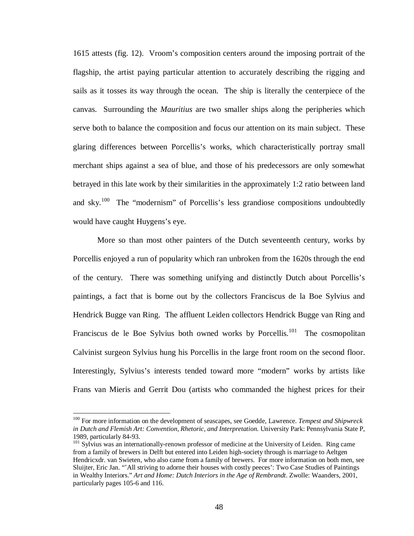1615 attests (fig. 12). Vroom's composition centers around the imposing portrait of the flagship, the artist paying particular attention to accurately describing the rigging and sails as it tosses its way through the ocean. The ship is literally the centerpiece of the canvas. Surrounding the *Mauritius* are two smaller ships along the peripheries which serve both to balance the composition and focus our attention on its main subject. These glaring differences between Porcellis's works, which characteristically portray small merchant ships against a sea of blue, and those of his predecessors are only somewhat betrayed in this late work by their similarities in the approximately 1:2 ratio between land and sky.<sup>100</sup> The "modernism" of Porcellis's less grandiose compositions undoubtedly would have caught Huygens's eye.

More so than most other painters of the Dutch seventeenth century, works by Porcellis enjoyed a run of popularity which ran unbroken from the 1620s through the end of the century. There was something unifying and distinctly Dutch about Porcellis's paintings, a fact that is borne out by the collectors Franciscus de la Boe Sylvius and Hendrick Bugge van Ring. The affluent Leiden collectors Hendrick Bugge van Ring and Franciscus de le Boe Sylvius both owned works by Porcellis.<sup>101</sup> The cosmopolitan Calvinist surgeon Sylvius hung his Porcellis in the large front room on the second floor. Interestingly, Sylvius's interests tended toward more "modern" works by artists like Frans van Mieris and Gerrit Dou (artists who commanded the highest prices for their

<sup>100</sup> For more information on the development of seascapes, see Goedde, Lawrence. *Tempest and Shipwreck in Dutch and Flemish Art: Convention, Rhetoric, and Interpretation*. University Park: Pennsylvania State P, 1989, particularly 84-93.

<sup>&</sup>lt;sup>101</sup> Sylvius was an internationally-renown professor of medicine at the University of Leiden. Ring came from a family of brewers in Delft but entered into Leiden high-society through is marriage to Aeltgen Hendricxdr. van Swieten, who also came from a family of brewers. For more information on both men, see Sluijter, Eric Jan. "'All striving to adorne their houses with costly peeces': Two Case Studies of Paintings in Wealthy Interiors." *Art and Home: Dutch Interiors in the Age of Rembrandt*. Zwolle: Waanders, 2001, particularly pages 105-6 and 116.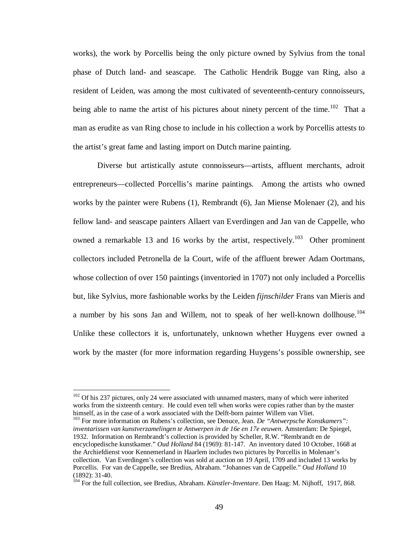works), the work by Porcellis being the only picture owned by Sylvius from the tonal phase of Dutch land- and seascape. The Catholic Hendrik Bugge van Ring, also a resident of Leiden, was among the most cultivated of seventeenth-century connoisseurs, being able to name the artist of his pictures about ninety percent of the time.<sup>102</sup> That a man as erudite as van Ring chose to include in his collection a work by Porcellis attests to the artist's great fame and lasting import on Dutch marine painting.

Diverse but artistically astute connoisseurs—artists, affluent merchants, adroit entrepreneurs—collected Porcellis's marine paintings. Among the artists who owned works by the painter were Rubens (1), Rembrandt (6), Jan Miense Molenaer (2), and his fellow land- and seascape painters Allaert van Everdingen and Jan van de Cappelle, who owned a remarkable 13 and 16 works by the artist, respectively.<sup>103</sup> Other prominent collectors included Petronella de la Court, wife of the affluent brewer Adam Oortmans, whose collection of over 150 paintings (inventoried in 1707) not only included a Porcellis but, like Sylvius, more fashionable works by the Leiden *fijnschilder* Frans van Mieris and a number by his sons Jan and Willem, not to speak of her well-known dollhouse.<sup>104</sup> Unlike these collectors it is, unfortunately, unknown whether Huygens ever owned a work by the master (for more information regarding Huygens's possible ownership, see

<u>.</u>

<sup>103</sup> For more information on Rubens's collection, see Denuce, Jean. *De "Antwerpsche Konstkamers"*: *inventarissen van kunstverzamelingen te Antwerpen in de 16e en 17e eeuwen*. Amsterdam: De Spiegel, 1932. Information on Rembrandt's collection is provided by Scheller, R.W. "Rembrandt en de encyclopedische kunstkamer." *Oud Holland* 84 (1969): 81-147. An inventory dated 10 October, 1668 at the Archiefdienst voor Kennemerland in Haarlem includes two pictures by Porcellis in Molenaer's collection. Van Everdingen's collection was sold at auction on 19 April, 1709 and included 13 works by Porcellis. For van de Cappelle, see Bredius, Abraham. "Johannes van de Cappelle." *Oud Holland* 10 (1892): 31-40.

 $102$  Of his 237 pictures, only 24 were associated with unnamed masters, many of which were inherited works from the sixteenth century. He could even tell when works were copies rather than by the master himself, as in the case of a work associated with the Delft-born painter Willem van Vliet.

<sup>104</sup> For the full collection, see Bredius, Abraham. *Künstler-Inventare*. Den Haag: M. Nijhoff, 1917, 868.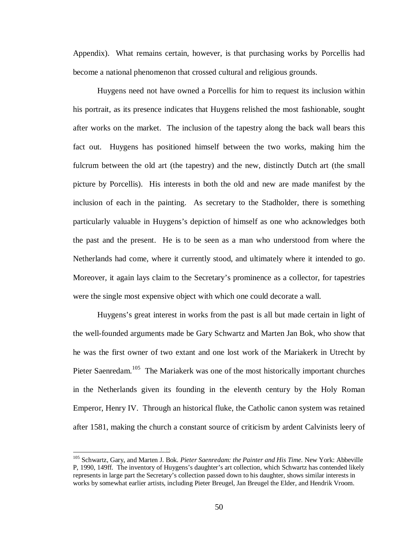Appendix). What remains certain, however, is that purchasing works by Porcellis had become a national phenomenon that crossed cultural and religious grounds.

Huygens need not have owned a Porcellis for him to request its inclusion within his portrait, as its presence indicates that Huygens relished the most fashionable, sought after works on the market. The inclusion of the tapestry along the back wall bears this fact out. Huygens has positioned himself between the two works, making him the fulcrum between the old art (the tapestry) and the new, distinctly Dutch art (the small picture by Porcellis). His interests in both the old and new are made manifest by the inclusion of each in the painting. As secretary to the Stadholder, there is something particularly valuable in Huygens's depiction of himself as one who acknowledges both the past and the present. He is to be seen as a man who understood from where the Netherlands had come, where it currently stood, and ultimately where it intended to go. Moreover, it again lays claim to the Secretary's prominence as a collector, for tapestries were the single most expensive object with which one could decorate a wall.

Huygens's great interest in works from the past is all but made certain in light of the well-founded arguments made be Gary Schwartz and Marten Jan Bok, who show that he was the first owner of two extant and one lost work of the Mariakerk in Utrecht by Pieter Saenredam.<sup>105</sup> The Mariakerk was one of the most historically important churches in the Netherlands given its founding in the eleventh century by the Holy Roman Emperor, Henry IV. Through an historical fluke, the Catholic canon system was retained after 1581, making the church a constant source of criticism by ardent Calvinists leery of

<sup>105</sup> Schwartz, Gary, and Marten J. Bok. *Pieter Saenredam: the Painter and His Time*. New York: Abbeville P, 1990, 149ff. The inventory of Huygens's daughter's art collection, which Schwartz has contended likely represents in large part the Secretary's collection passed down to his daughter, shows similar interests in works by somewhat earlier artists, including Pieter Breugel, Jan Breugel the Elder, and Hendrik Vroom.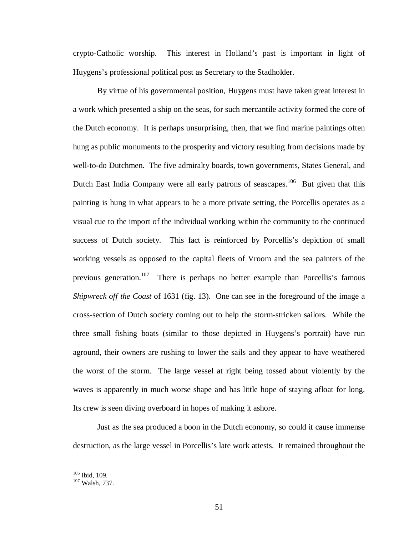crypto-Catholic worship. This interest in Holland's past is important in light of Huygens's professional political post as Secretary to the Stadholder.

By virtue of his governmental position, Huygens must have taken great interest in a work which presented a ship on the seas, for such mercantile activity formed the core of the Dutch economy. It is perhaps unsurprising, then, that we find marine paintings often hung as public monuments to the prosperity and victory resulting from decisions made by well-to-do Dutchmen. The five admiralty boards, town governments, States General, and Dutch East India Company were all early patrons of seascapes.<sup>106</sup> But given that this painting is hung in what appears to be a more private setting, the Porcellis operates as a visual cue to the import of the individual working within the community to the continued success of Dutch society. This fact is reinforced by Porcellis's depiction of small working vessels as opposed to the capital fleets of Vroom and the sea painters of the previous generation.<sup>107</sup> There is perhaps no better example than Porcellis's famous *Shipwreck off the Coast* of 1631 (fig. 13). One can see in the foreground of the image a cross-section of Dutch society coming out to help the storm-stricken sailors. While the three small fishing boats (similar to those depicted in Huygens's portrait) have run aground, their owners are rushing to lower the sails and they appear to have weathered the worst of the storm. The large vessel at right being tossed about violently by the waves is apparently in much worse shape and has little hope of staying afloat for long. Its crew is seen diving overboard in hopes of making it ashore.

Just as the sea produced a boon in the Dutch economy, so could it cause immense destruction, as the large vessel in Porcellis's late work attests. It remained throughout the

<sup>106</sup> Ibid, 109.

<sup>107</sup> Walsh, 737.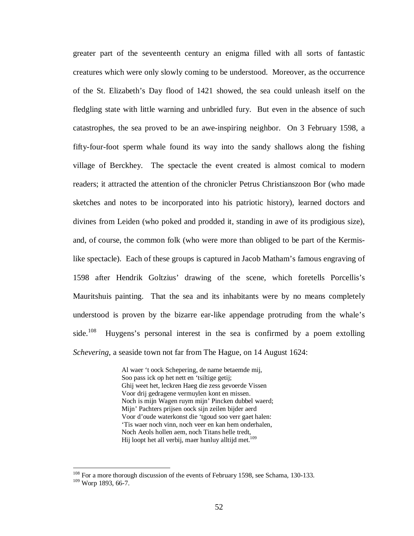greater part of the seventeenth century an enigma filled with all sorts of fantastic creatures which were only slowly coming to be understood. Moreover, as the occurrence of the St. Elizabeth's Day flood of 1421 showed, the sea could unleash itself on the fledgling state with little warning and unbridled fury. But even in the absence of such catastrophes, the sea proved to be an awe-inspiring neighbor. On 3 February 1598, a fifty-four-foot sperm whale found its way into the sandy shallows along the fishing village of Berckhey. The spectacle the event created is almost comical to modern readers; it attracted the attention of the chronicler Petrus Christianszoon Bor (who made sketches and notes to be incorporated into his patriotic history), learned doctors and divines from Leiden (who poked and prodded it, standing in awe of its prodigious size), and, of course, the common folk (who were more than obliged to be part of the Kermislike spectacle). Each of these groups is captured in Jacob Matham's famous engraving of 1598 after Hendrik Goltzius' drawing of the scene, which foretells Porcellis's Mauritshuis painting. That the sea and its inhabitants were by no means completely understood is proven by the bizarre ear-like appendage protruding from the whale's side.<sup>108</sup> Huygens's personal interest in the sea is confirmed by a poem extolling *Schevering*, a seaside town not far from The Hague, on 14 August 1624:

> Al waer 't oock Schepering, de name betaemde mij, Soo pass ick op het nett en 'tsiltige getij; Ghij weet het, leckren Haeg die zess gevoerde Vissen Voor drij gedragene vermuylen kont en missen. Noch is mijn Wagen ruym mijn' Pincken dubbel waerd; Mijn' Pachters prijsen oock sijn zeilen bijder aerd Voor d'oude waterkonst die 'tgoud soo verr gaet halen: 'Tis waer noch vinn, noch veer en kan hem onderhalen, Noch Aeols hollen aem, noch Titans helle tredt, Hij loopt het all verbij, maer hunluy alltijd met.<sup>109</sup>

<sup>&</sup>lt;sup>108</sup> For a more thorough discussion of the events of February 1598, see Schama, 130-133. <sup>109</sup> Worp 1893, 66-7.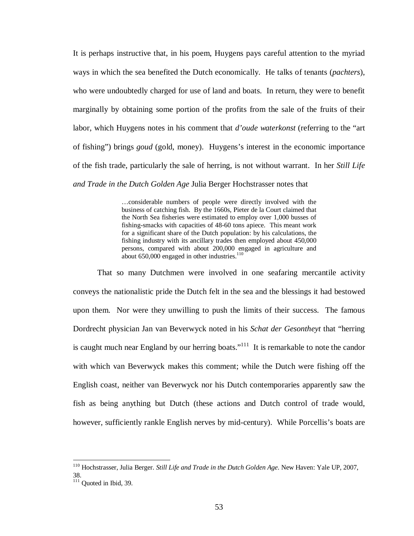It is perhaps instructive that, in his poem, Huygens pays careful attention to the myriad ways in which the sea benefited the Dutch economically. He talks of tenants (*pachters*), who were undoubtedly charged for use of land and boats. In return, they were to benefit marginally by obtaining some portion of the profits from the sale of the fruits of their labor, which Huygens notes in his comment that *d'oude waterkonst* (referring to the "art of fishing") brings *goud* (gold, money). Huygens's interest in the economic importance of the fish trade, particularly the sale of herring, is not without warrant. In her *Still Life and Trade in the Dutch Golden Age* Julia Berger Hochstrasser notes that

> …considerable numbers of people were directly involved with the business of catching fish. By the 1660s, Pieter de la Court claimed that the North Sea fisheries were estimated to employ over 1,000 busses of fishing-smacks with capacities of 48-60 tons apiece. This meant work for a significant share of the Dutch population: by his calculations, the fishing industry with its ancillary trades then employed about 450,000 persons, compared with about 200,000 engaged in agriculture and about  $650,000$  engaged in other industries.<sup>110</sup>

That so many Dutchmen were involved in one seafaring mercantile activity conveys the nationalistic pride the Dutch felt in the sea and the blessings it had bestowed upon them. Nor were they unwilling to push the limits of their success. The famous Dordrecht physician Jan van Beverwyck noted in his *Schat der Gesontheyt* that "herring is caught much near England by our herring boats."<sup>111</sup> It is remarkable to note the candor with which van Beverwyck makes this comment; while the Dutch were fishing off the English coast, neither van Beverwyck nor his Dutch contemporaries apparently saw the fish as being anything but Dutch (these actions and Dutch control of trade would, however, sufficiently rankle English nerves by mid-century). While Porcellis's boats are

<sup>110</sup> Hochstrasser, Julia Berger. *Still Life and Trade in the Dutch Golden Age*. New Haven: Yale UP, 2007, 38.

 $111$  Quoted in Ibid, 39.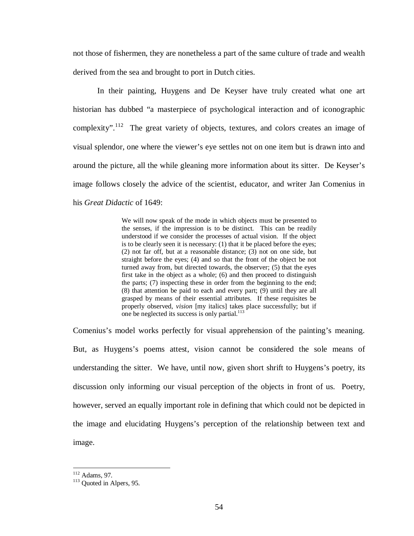not those of fishermen, they are nonetheless a part of the same culture of trade and wealth derived from the sea and brought to port in Dutch cities.

In their painting, Huygens and De Keyser have truly created what one art historian has dubbed "a masterpiece of psychological interaction and of iconographic complexity".<sup>112</sup> The great variety of objects, textures, and colors creates an image of visual splendor, one where the viewer's eye settles not on one item but is drawn into and around the picture, all the while gleaning more information about its sitter. De Keyser's image follows closely the advice of the scientist, educator, and writer Jan Comenius in his *Great Didactic* of 1649:

> We will now speak of the mode in which objects must be presented to the senses, if the impression is to be distinct. This can be readily understood if we consider the processes of actual vision. If the object is to be clearly seen it is necessary: (1) that it be placed before the eyes; (2) not far off, but at a reasonable distance; (3) not on one side, but straight before the eyes; (4) and so that the front of the object be not turned away from, but directed towards, the observer; (5) that the eyes first take in the object as a whole; (6) and then proceed to distinguish the parts; (7) inspecting these in order from the beginning to the end; (8) that attention be paid to each and every part; (9) until they are all grasped by means of their essential attributes. If these requisites be properly observed, *vision* [my italics] takes place successfully; but if one be neglected its success is only partial.<sup>113</sup>

Comenius's model works perfectly for visual apprehension of the painting's meaning. But, as Huygens's poems attest, vision cannot be considered the sole means of understanding the sitter. We have, until now, given short shrift to Huygens's poetry, its discussion only informing our visual perception of the objects in front of us. Poetry, however, served an equally important role in defining that which could not be depicted in the image and elucidating Huygens's perception of the relationship between text and image.

<sup>&</sup>lt;u>.</u>  $112$  Adams, 97.

<sup>&</sup>lt;sup>113</sup> Ouoted in Alpers, 95.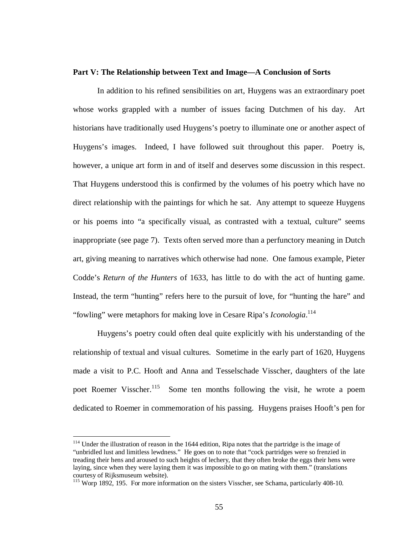## **Part V: The Relationship between Text and Image—A Conclusion of Sorts**

 In addition to his refined sensibilities on art, Huygens was an extraordinary poet whose works grappled with a number of issues facing Dutchmen of his day. Art historians have traditionally used Huygens's poetry to illuminate one or another aspect of Huygens's images. Indeed, I have followed suit throughout this paper. Poetry is, however, a unique art form in and of itself and deserves some discussion in this respect. That Huygens understood this is confirmed by the volumes of his poetry which have no direct relationship with the paintings for which he sat. Any attempt to squeeze Huygens or his poems into "a specifically visual, as contrasted with a textual, culture" seems inappropriate (see page 7). Texts often served more than a perfunctory meaning in Dutch art, giving meaning to narratives which otherwise had none. One famous example, Pieter Codde's *Return of the Hunters* of 1633, has little to do with the act of hunting game. Instead, the term "hunting" refers here to the pursuit of love, for "hunting the hare" and "fowling" were metaphors for making love in Cesare Ripa's *Iconologia*. 114

Huygens's poetry could often deal quite explicitly with his understanding of the relationship of textual and visual cultures. Sometime in the early part of 1620, Huygens made a visit to P.C. Hooft and Anna and Tesselschade Visscher, daughters of the late poet Roemer Visscher.<sup>115</sup> Some ten months following the visit, he wrote a poem dedicated to Roemer in commemoration of his passing. Huygens praises Hooft's pen for

<sup>&</sup>lt;sup>114</sup> Under the illustration of reason in the 1644 edition, Ripa notes that the partridge is the image of "unbridled lust and limitless lewdness." He goes on to note that "cock partridges were so frenzied in treading their hens and aroused to such heights of lechery, that they often broke the eggs their hens were laying, since when they were laying them it was impossible to go on mating with them." (translations courtesy of Rijksmuseum website).

<sup>&</sup>lt;sup>115</sup> Worp 1892, 195. For more information on the sisters Visscher, see Schama, particularly 408-10.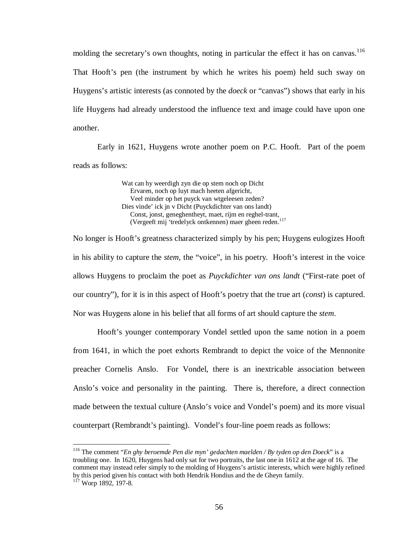molding the secretary's own thoughts, noting in particular the effect it has on canvas.<sup>116</sup> That Hooft's pen (the instrument by which he writes his poem) held such sway on Huygens's artistic interests (as connoted by the *doeck* or "canvas") shows that early in his life Huygens had already understood the influence text and image could have upon one another.

Early in 1621, Huygens wrote another poem on P.C. Hooft. Part of the poem reads as follows:

> Wat can hy weerdigh zyn die op stem noch op Dicht Ervaren, noch op luyt mach heeten afgericht, Veel minder op het puyck van wtgeleesen zeden? Dies vinde' ick jn v Dicht (Puyckdichter van ons landt) Const, jonst, geneghentheyt, maet, rijm en reghel-trant, (Vergeeft mij 'tredelyck ontkennen) maer gheen reden. 117

No longer is Hooft's greatness characterized simply by his pen; Huygens eulogizes Hooft in his ability to capture the *stem*, the "voice", in his poetry. Hooft's interest in the voice allows Huygens to proclaim the poet as *Puyckdichter van ons landt* ("First-rate poet of our country"), for it is in this aspect of Hooft's poetry that the true art (*const*) is captured. Nor was Huygens alone in his belief that all forms of art should capture the *stem*.

Hooft's younger contemporary Vondel settled upon the same notion in a poem from 1641, in which the poet exhorts Rembrandt to depict the voice of the Mennonite preacher Cornelis Anslo. For Vondel, there is an inextricable association between Anslo's voice and personality in the painting. There is, therefore, a direct connection made between the textual culture (Anslo's voice and Vondel's poem) and its more visual counterpart (Rembrandt's painting). Vondel's four-line poem reads as follows:

<sup>116</sup> The comment "*En ghy beroemde Pen die myn' gedachten maelden / By tyden op den Doeck*" is a troubling one. In 1620, Huygens had only sat for two portraits, the last one in 1612 at the age of 16. The comment may instead refer simply to the molding of Huygens's artistic interests, which were highly refined by this period given his contact with both Hendrik Hondius and the de Gheyn family.

<sup>&</sup>lt;sup>117</sup> Worp 1892, 197-8.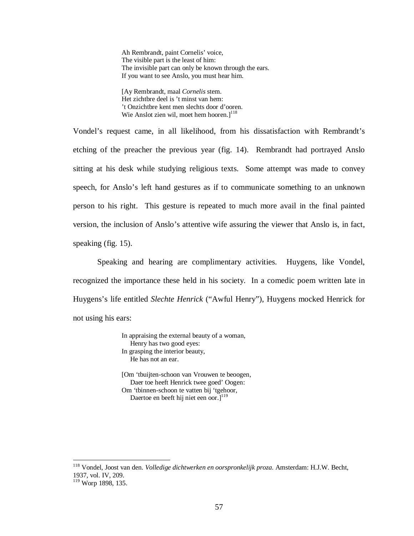Ah Rembrandt, paint Cornelis' voice, The visible part is the least of him: The invisible part can only be known through the ears. If you want to see Anslo, you must hear him.

[Ay Rembrandt, maal *Cornelis* stem. Het zichtbre deel is 't minst van hem: 't Onzichtbre kent men slechts door d'ooren. Wie Anslot zien wil, moet hem hooren.<sup>118</sup>

Vondel's request came, in all likelihood, from his dissatisfaction with Rembrandt's etching of the preacher the previous year (fig. 14). Rembrandt had portrayed Anslo sitting at his desk while studying religious texts. Some attempt was made to convey speech, for Anslo's left hand gestures as if to communicate something to an unknown person to his right. This gesture is repeated to much more avail in the final painted version, the inclusion of Anslo's attentive wife assuring the viewer that Anslo is, in fact, speaking (fig. 15).

Speaking and hearing are complimentary activities. Huygens, like Vondel, recognized the importance these held in his society. In a comedic poem written late in Huygens's life entitled *Slechte Henrick* ("Awful Henry"), Huygens mocked Henrick for not using his ears:

> In appraising the external beauty of a woman, Henry has two good eyes: In grasping the interior beauty, He has not an ear.

[Om 'tbuijten-schoon van Vrouwen te beoogen, Daer toe heeft Henrick twee goed' Oogen: Om 'tbinnen-schoon te vatten bij 'tgehoor, Daertoe en beeft hij niet een oor. $]^{119}$ 

<sup>118</sup> Vondel, Joost van den. *Volledige dichtwerken en oorspronkelijk proza*. Amsterdam: H.J.W. Becht, 1937, vol. IV, 209.

<sup>&</sup>lt;sup>119</sup> Worp 1898, 135.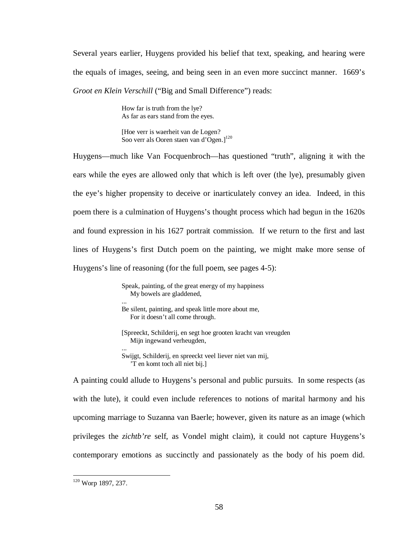Several years earlier, Huygens provided his belief that text, speaking, and hearing were the equals of images, seeing, and being seen in an even more succinct manner. 1669's *Groot en Klein Verschill* ("Big and Small Difference") reads:

> How far is truth from the lye? As far as ears stand from the eyes.

[Hoe verr is waerheit van de Logen? Soo verr als Ooren staen van d'Ogen.]<sup>120</sup>

Huygens—much like Van Focquenbroch—has questioned "truth", aligning it with the ears while the eyes are allowed only that which is left over (the lye), presumably given the eye's higher propensity to deceive or inarticulately convey an idea. Indeed, in this poem there is a culmination of Huygens's thought process which had begun in the 1620s and found expression in his 1627 portrait commission. If we return to the first and last lines of Huygens's first Dutch poem on the painting, we might make more sense of Huygens's line of reasoning (for the full poem, see pages 4-5):

> Speak, painting, of the great energy of my happiness My bowels are gladdened, ... Be silent, painting, and speak little more about me,

For it doesn't all come through.

[Spreeckt, Schilderij, en segt hoe grooten kracht van vreugden Mijn ingewand verheugden, ...

Swijgt, Schilderij, en spreeckt veel liever niet van mij, 'T en komt toch all niet bij.]

A painting could allude to Huygens's personal and public pursuits. In some respects (as with the lute), it could even include references to notions of marital harmony and his upcoming marriage to Suzanna van Baerle; however, given its nature as an image (which privileges the *zichtb're* self, as Vondel might claim), it could not capture Huygens's contemporary emotions as succinctly and passionately as the body of his poem did.

<sup>&</sup>lt;sup>120</sup> Worp 1897, 237.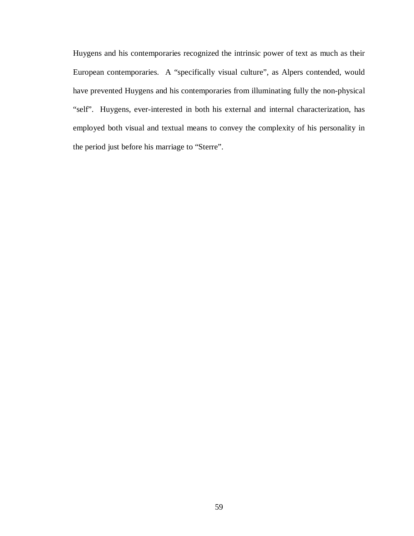Huygens and his contemporaries recognized the intrinsic power of text as much as their European contemporaries. A "specifically visual culture", as Alpers contended, would have prevented Huygens and his contemporaries from illuminating fully the non-physical "self". Huygens, ever-interested in both his external and internal characterization, has employed both visual and textual means to convey the complexity of his personality in the period just before his marriage to "Sterre".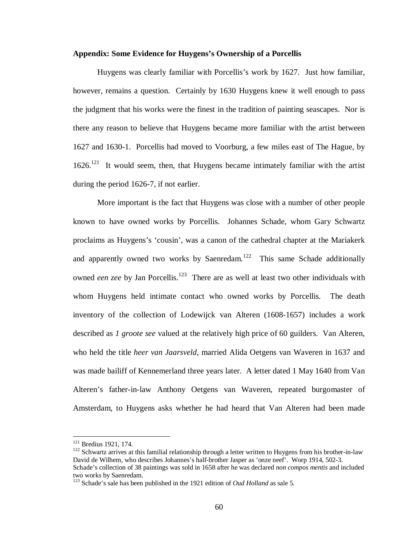## **Appendix: Some Evidence for Huygens's Ownership of a Porcellis**

Huygens was clearly familiar with Porcellis's work by 1627. Just how familiar, however, remains a question. Certainly by 1630 Huygens knew it well enough to pass the judgment that his works were the finest in the tradition of painting seascapes. Nor is there any reason to believe that Huygens became more familiar with the artist between 1627 and 1630-1. Porcellis had moved to Voorburg, a few miles east of The Hague, by  $1626$ <sup>121</sup> It would seem, then, that Huygens became intimately familiar with the artist during the period 1626-7, if not earlier.

More important is the fact that Huygens was close with a number of other people known to have owned works by Porcellis. Johannes Schade, whom Gary Schwartz proclaims as Huygens's 'cousin', was a canon of the cathedral chapter at the Mariakerk and apparently owned two works by Saenredam.<sup>122</sup> This same Schade additionally owned *een zee* by Jan Porcellis.<sup>123</sup> There are as well at least two other individuals with whom Huygens held intimate contact who owned works by Porcellis. The death inventory of the collection of Lodewijck van Alteren (1608-1657) includes a work described as *1 groote see* valued at the relatively high price of 60 guilders. Van Alteren, who held the title *heer van Jaarsveld*, married Alida Oetgens van Waveren in 1637 and was made bailiff of Kennemerland three years later. A letter dated 1 May 1640 from Van Alteren's father-in-law Anthony Oetgens van Waveren, repeated burgomaster of Amsterdam, to Huygens asks whether he had heard that Van Alteren had been made

<sup>121</sup> Bredius 1921, 174.

 $122$  Schwartz arrives at this familial relationship through a letter written to Huygens from his brother-in-law David de Wilhem, who describes Johannes's half-brother Jasper as 'onze neef'. Worp 1914, 502-3. Schade's collection of 38 paintings was sold in 1658 after he was declared *non compos mentis* and included two works by Saenredam.

<sup>&</sup>lt;sup>123</sup> Schade's sale has been published in the 1921 edition of *Oud Holland* as sale 5.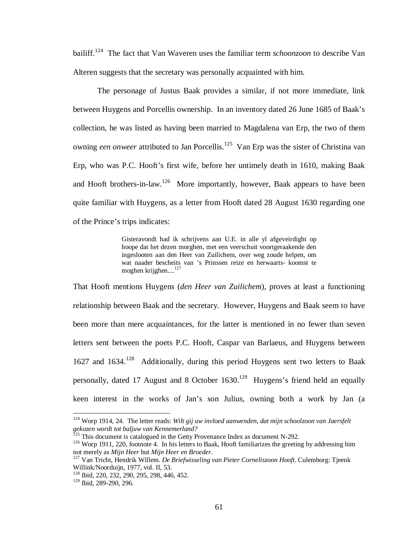bailiff.<sup>124</sup> The fact that Van Waveren uses the familiar term *schoonzoon* to describe Van Alteren suggests that the secretary was personally acquainted with him.

The personage of Justus Baak provides a similar, if not more immediate, link between Huygens and Porcellis ownership. In an inventory dated 26 June 1685 of Baak's collection, he was listed as having been married to Magdalena van Erp, the two of them owning *een onweer* attributed to Jan Porcellis.<sup>125</sup> Van Erp was the sister of Christina van Erp, who was P.C. Hooft's first wife, before her untimely death in 1610, making Baak and Hooft brothers-in-law.<sup>126</sup> More importantly, however, Baak appears to have been quite familiar with Huygens, as a letter from Hooft dated 28 August 1630 regarding one of the Prince's trips indicates:

> Gisteravondt had ik schrijvens aan U.E. in alle yl afgeveirdight op hoope dat het dezen morghen, met een veerschuit voortgeraakende den ingeslooten aan den Heer van Zuilichem, over weg zoude helpen, om wat naader bescheits van 's Prinssen reize en herwaarts- koomst te moghen krijghen....<sup>127</sup>

That Hooft mentions Huygens (*den Heer van Zuilichem*), proves at least a functioning relationship between Baak and the secretary. However, Huygens and Baak seem to have been more than mere acquaintances, for the latter is mentioned in no fewer than seven letters sent between the poets P.C. Hooft, Caspar van Barlaeus, and Huygens between  $1627$  and  $1634$ ,  $128$  Additionally, during this period Huygens sent two letters to Baak personally, dated 17 August and 8 October  $1630<sup>129</sup>$  Huygens's friend held an equally keen interest in the works of Jan's son Julius, owning both a work by Jan (a

<sup>124</sup> Worp 1914, 24. The letter reads: *Wilt gij uw invloed aanwenden, dat mijn schoolzoon van Jaersfelt gekozen wordt tot baljuw van Kennemerland?*

 $125$  This document is catalogued in the Getty Provenance Index as document N-292.

<sup>&</sup>lt;sup>126</sup> Worp 1911, 220, footnote 4. In his letters to Baak, Hooft familiarizes the greeting by addressing him not merely as *Mijn Heer* but *Mijn Heer en Broeder*.

<sup>127</sup> Van Tricht, Hendrik Willem. *De Briefwisseling van Pieter Corneliszoon Hooft*. Culemborg: Tjeenk Willink/Noorduijn, 1977, vol. II, 53.

<sup>128</sup> Ibid, 220, 232, 290, 295, 298, 446, 452.

<sup>&</sup>lt;sup>129</sup> Ibid. 289-290, 296.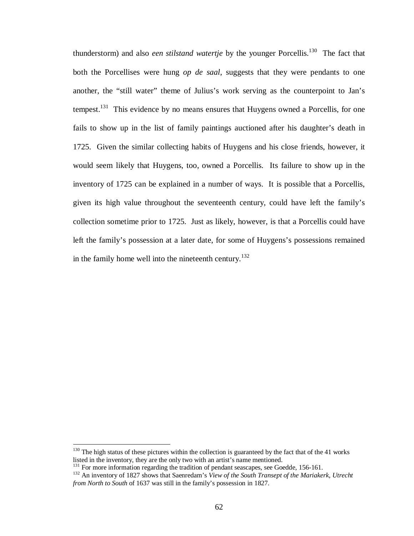thunderstorm) and also *een stilstand watertie* by the younger Porcellis.<sup>130</sup> The fact that both the Porcellises were hung *op de saal*, suggests that they were pendants to one another, the "still water" theme of Julius's work serving as the counterpoint to Jan's tempest.<sup>131</sup> This evidence by no means ensures that Huygens owned a Porcellis, for one fails to show up in the list of family paintings auctioned after his daughter's death in 1725. Given the similar collecting habits of Huygens and his close friends, however, it would seem likely that Huygens, too, owned a Porcellis. Its failure to show up in the inventory of 1725 can be explained in a number of ways. It is possible that a Porcellis, given its high value throughout the seventeenth century, could have left the family's collection sometime prior to 1725. Just as likely, however, is that a Porcellis could have left the family's possession at a later date, for some of Huygens's possessions remained in the family home well into the nineteenth century.<sup>132</sup>

 $130$  The high status of these pictures within the collection is guaranteed by the fact that of the 41 works listed in the inventory, they are the only two with an artist's name mentioned.

<sup>&</sup>lt;sup>131</sup> For more information regarding the tradition of pendant seascapes, see Goedde, 156-161.

<sup>132</sup> An inventory of 1827 shows that Saenredam's *View of the South Transept of the Mariakerk, Utrecht from North to South* of 1637 was still in the family's possession in 1827.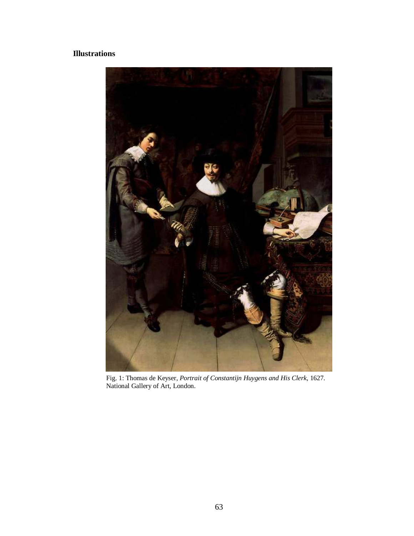# **Illustrations**



Fig. 1: Thomas de Keyser, *Portrait of Constantijn Huygens and His Clerk*, 1627. National Gallery of Art, London.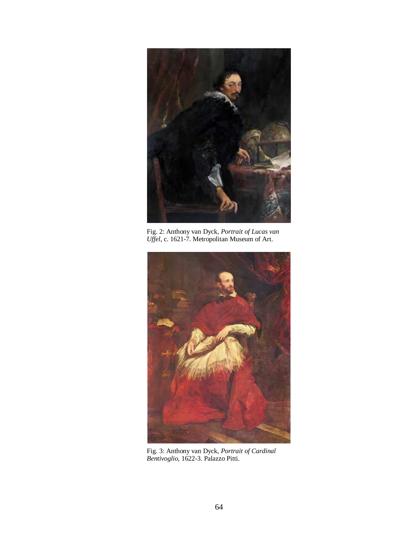

Fig. 2: Anthony van Dyck, *Portrait of Lucas van Uffel*, c. 1621-7. Metropolitan Museum of Art.



Fig. 3: Anthony van Dyck, *Portrait of Cardinal Bentivoglio*, 1622-3. Palazzo Pitti.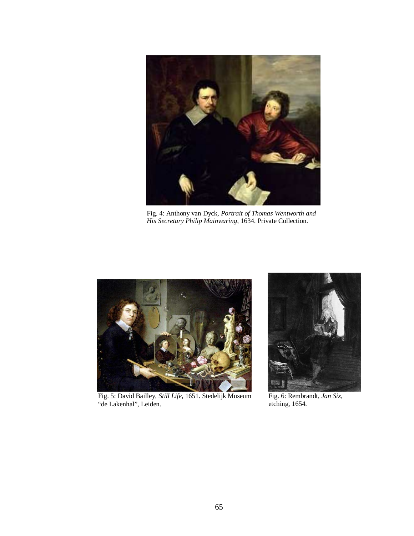

Fig. 4: Anthony van Dyck, *Portrait of Thomas Wentworth and His Secretary Philip Mainwaring*, 1634. Private Collection.



Fig. 5: David Bailley, *Still Life*, 1651. Stedelijk Museum "de Lakenhal", Leiden.



Fig. 6: Rembrandt, *Jan Six*, etching, 1654.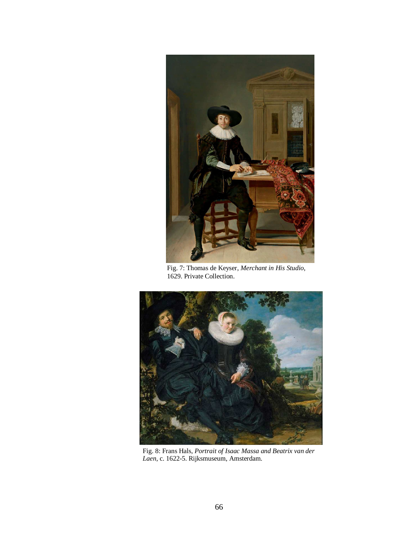

Fig. 7: Thomas de Keyser, *Merchant in His Studio*, 1629. Private Collection.



Fig. 8: Frans Hals, *Portrait of Isaac Massa and Beatrix van der Laen*, c. 1622-5. Rijksmuseum, Amsterdam.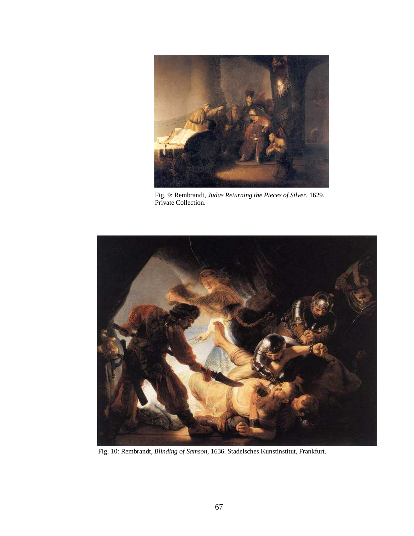

Fig. 9: Rembrandt, *Judas Returning the Pieces of Silver*, 1629. Private Collection.



Fig. 10: Rembrandt, *Blinding of Samson*, 1636. Stadelsches Kunstinstitut, Frankfurt.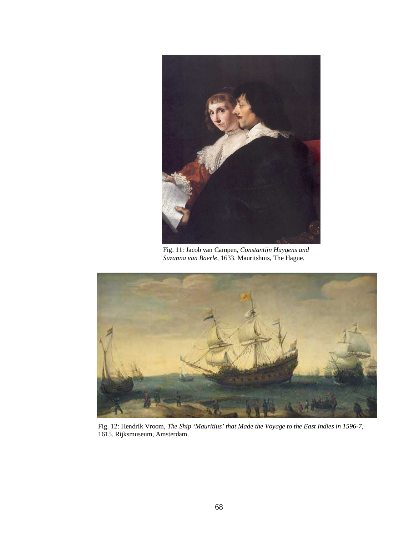

Fig. 11: Jacob van Campen, *Constantijn Huygens and Suzanna van Baerle*, 1633. Mauritshuis, The Hague.



Fig. 12: Hendrik Vroom, *The Ship 'Mauritius' that Made the Voyage to the East Indies in 1596-7*, 1615. Rijksmuseum, Amsterdam.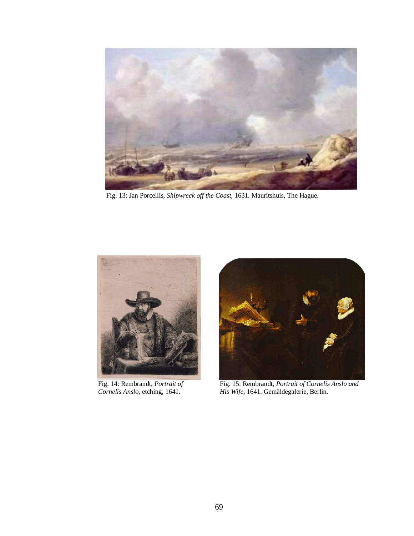

Fig. 13: Jan Porcellis, *Shipwreck off the Coast*, 1631. Mauritshuis, The Hague.



Fig. 14: Rembrandt, *Portrait of Cornelis Anslo*, etching, 1641.



Fig. 15: Rembrandt, *Portrait of Cornelis Anslo and His Wife*, 1641. Gemäldegalerie, Berlin.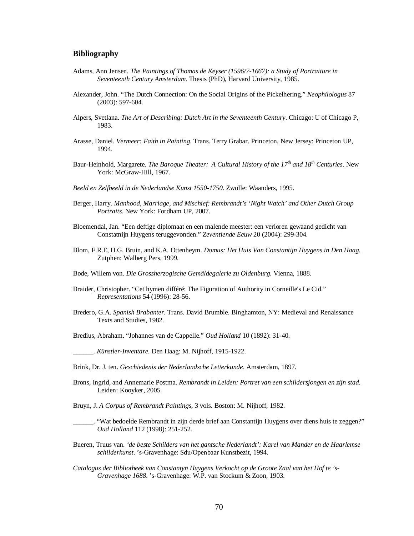### **Bibliography**

- Adams, Ann Jensen. *The Paintings of Thomas de Keyser (1596/7-1667): a Study of Portraiture in Seventeenth Century Amsterdam*. Thesis (PhD), Harvard University, 1985.
- Alexander, John. "The Dutch Connection: On the Social Origins of the Pickelhering." *Neophilologus* 87 (2003): 597-604.
- Alpers, Svetlana. *The Art of Describing: Dutch Art in the Seventeenth Century*. Chicago: U of Chicago P, 1983.
- Arasse, Daniel. *Vermeer: Faith in Painting*. Trans. Terry Grabar. Princeton, New Jersey: Princeton UP, 1994.
- Baur-Heinhold, Margarete. *The Baroque Theater: A Cultural History of the 17th and 18th Centuries*. New York: McGraw-Hill, 1967.
- *Beeld en Zelfbeeld in de Nederlandse Kunst 1550-1750*. Zwolle: Waanders, 1995.
- Berger, Harry. *Manhood, Marriage, and Mischief: Rembrandt's 'Night Watch' and Other Dutch Group Portraits*. New York: Fordham UP, 2007.
- Bloemendal, Jan. "Een deftige diplomaat en een malende meester: een verloren gewaand gedicht van Constatnijn Huygens teruggevonden." *Zeventiende Eeuw* 20 (2004): 299-304.
- Blom, F.R.E, H.G. Bruin, and K.A. Ottenheym. *Domus: Het Huis Van Constantijn Huygens in Den Haag*. Zutphen: Walberg Pers, 1999.
- Bode, Willem von. *Die Grossherzogische Gemäldegalerie zu Oldenburg*. Vienna, 1888.
- Braider, Christopher. "Cet hymen différé: The Figuration of Authority in Corneille's Le Cid." *Representations* 54 (1996): 28-56.
- Bredero, G.A. *Spanish Brabanter*. Trans. David Brumble. Binghamton, NY: Medieval and Renaissance Texts and Studies, 1982.

Bredius, Abraham. "Johannes van de Cappelle." *Oud Holland* 10 (1892): 31-40.

\_\_\_\_\_\_. *Künstler-Inventare*. Den Haag: M. Nijhoff, 1915-1922.

- Brink, Dr. J. ten. *Geschiedenis der Nederlandsche Letterkunde*. Amsterdam, 1897.
- Brons, Ingrid, and Annemarie Postma. *Rembrandt in Leiden: Portret van een schildersjongen en zijn stad*. Leiden: Kooyker, 2005.
- Bruyn, J. *A Corpus of Rembrandt Paintings*, 3 vols. Boston: M. Nijhoff, 1982.
- \_\_\_\_\_\_. "Wat bedoelde Rembrandt in zijn derde brief aan Constantijn Huygens over diens huis te zeggen?" *Oud Holland* 112 (1998): 251-252.
- Bueren, Truus van. *'de beste Schilders van het gantsche Nederlandt': Karel van Mander en de Haarlemse schilderkunst*. 's-Gravenhage: Sdu/Openbaar Kunstbezit, 1994.
- *Catalogus der Bibliotheek van Constantyn Huygens Verkocht op de Groote Zaal van het Hof te 's-Gravenhage 1688*. 's-Gravenhage: W.P. van Stockum & Zoon, 1903.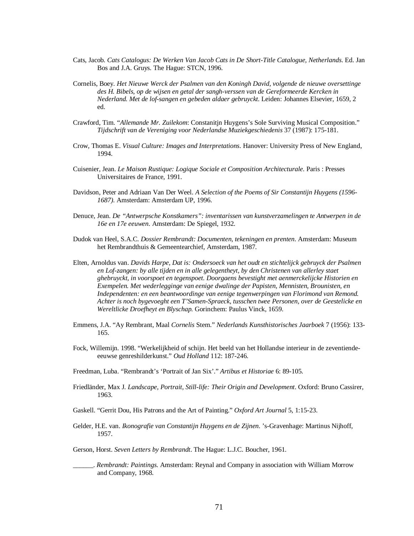- Cats, Jacob. *Cats Catalogus: De Werken Van Jacob Cats in De Short-Title Catalogue, Netherlands*. Ed. Jan Bos and J.A. Gruys. The Hague: STCN, 1996.
- Cornelis, Boey. *Het Nieuwe Werck der Psalmen van den Koningh David, volgende de nieuwe oversettinge des H. Bibels, op de wijsen en getal der sangh-verssen van de Gereformeerde Kercken in Nederland. Met de lof-sangen en gebeden aldaer gebruyckt.* Leiden: Johannes Elsevier, 1659, 2 ed.
- Crawford, Tim. "*Allemande Mr. Zuilekom*: Constanitjn Huygens's Sole Surviving Musical Composition." *Tijdschrift van de Vereniging voor Nederlandse Muziekgeschiedenis* 37 (1987): 175-181.
- Crow, Thomas E. *Visual Culture: Images and Interpretations*. Hanover: University Press of New England, 1994.
- Cuisenier, Jean. *Le Maison Rustique: Logique Sociale et Composition Architecturale.* Paris : Presses Universitaires de France, 1991.
- Davidson, Peter and Adriaan Van Der Weel. *A Selection of the Poems of Sir Constantijn Huygens (1596- 1687)*. Amsterdam: Amsterdam UP, 1996.
- Denuce, Jean. *De "Antwerpsche Konstkamers": inventarissen van kunstverzamelingen te Antwerpen in de 16e en 17e eeuwen*. Amsterdam: De Spiegel, 1932.
- Dudok van Heel, S.A.C. *Dossier Rembrandt: Documenten, tekeningen en prenten*. Amsterdam: Museum het Rembrandthuis & Gemeentearchief, Amsterdam, 1987.
- Elten, Arnoldus van. *Davids Harpe, Dat is: Ondersoeck van het oudt en stichtelijck gebruyck der Psalmen en Lof-zangen: by alle tijden en in alle gelegentheyt, by den Christenen van allerley staet ghebruyckt, in voorspoet en tegenspoet. Doorgaens bevestight met aenmerckelijcke Historien en Exempelen. Met wederlegginge van eenige dwalinge der Papisten, Mennisten, Brounisten, en Independenten: en een beantwoordinge van eenige tegenwerpingen van Florimond van Remond. Achter is noch bygevoeght een T'Samen-Spraeck, tusschen twee Personen, over de Geestelicke en Wereltlicke Droefheyt en Blyschap.* Gorinchem: Paulus Vinck, 1659.
- Emmens, J.A. "Ay Rembrant, Maal *Cornelis* Stem." *Nederlands Kunsthistorisches Jaarboek* 7 (1956): 133- 165.
- Fock, Willemijn. 1998. "Werkelijkheid of schijn. Het beeld van het Hollandse interieur in de zeventiendeeeuwse genreshilderkunst." *Oud Holland* 112: 187-246.
- Freedman, Luba. "Rembrandt's 'Portrait of Jan Six'." *Artibus et Historiae* 6: 89-105.
- Friedländer, Max J. *Landscape, Portrait, Still-life: Their Origin and Development*. Oxford: Bruno Cassirer, 1963.
- Gaskell. "Gerrit Dou, His Patrons and the Art of Painting." *Oxford Art Journal* 5, 1:15-23.
- Gelder, H.E. van. *Ikonografie van Constantijn Huygens en de Zijnen*. 's-Gravenhage: Martinus Nijhoff, 1957.
- Gerson, Horst. *Seven Letters by Rembrandt*. The Hague: L.J.C. Boucher, 1961.
- \_\_\_\_\_\_. *Rembrandt: Paintings*. Amsterdam: Reynal and Company in association with William Morrow and Company, 1968.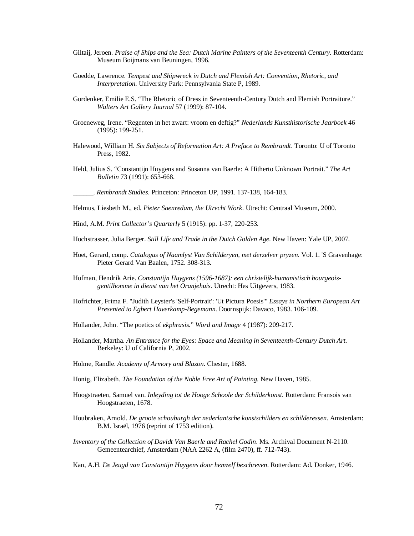- Giltaij, Jeroen. *Praise of Ships and the Sea: Dutch Marine Painters of the Seventeenth Century*. Rotterdam: Museum Boijmans van Beuningen, 1996.
- Goedde, Lawrence. *Tempest and Shipwreck in Dutch and Flemish Art: Convention, Rhetoric, and Interpretation*. University Park: Pennsylvania State P, 1989.
- Gordenker, Emilie E.S. "The Rhetoric of Dress in Seventeenth-Century Dutch and Flemish Portraiture." *Walters Art Gallery Journal* 57 (1999): 87-104.
- Groeneweg, Irene. "Regenten in het zwart: vroom en deftig?" *Nederlands Kunsthistorische Jaarboek* 46 (1995): 199-251.
- Halewood, William H. *Six Subjects of Reformation Art: A Preface to Rembrandt*. Toronto: U of Toronto Press, 1982.
- Held, Julius S. "Constantijn Huygens and Susanna van Baerle: A Hitherto Unknown Portrait." *The Art Bulletin* 73 (1991): 653-668.

\_\_\_\_\_\_. *Rembrandt Studies*. Princeton: Princeton UP, 1991. 137-138, 164-183.

Helmus, Liesbeth M., ed. *Pieter Saenredam, the Utrecht Work*. Utrecht: Centraal Museum, 2000.

- Hind, A.M. *Print Collector's Quarterly* 5 (1915): pp. 1-37, 220-253.
- Hochstrasser, Julia Berger. *Still Life and Trade in the Dutch Golden Age*. New Haven: Yale UP, 2007.
- Hoet, Gerard, comp. *Catalogus of Naamlyst Van Schilderyen, met derzelver pryzen*. Vol. 1. 'S Gravenhage: Pieter Gerard Van Baalen, 1752. 308-313.
- Hofman, Hendrik Arie. *Constantijn Huygens (1596-1687): een christelijk-humanistisch bourgeoisgentilhomme in dienst van het Oranjehuis*. Utrecht: Hes Uitgevers, 1983.
- Hofrichter, Frima F. "Judith Leyster's 'Self-Portrait': 'Ut Pictura Poesis'" *Essays in Northern European Art Presented to Egbert Haverkamp-Begemann*. Doornspijk: Davaco, 1983. 106-109.
- Hollander, John. "The poetics of *ekphrasis*." *Word and Image* 4 (1987): 209-217.
- Hollander, Martha. *An Entrance for the Eyes: Space and Meaning in Seventeenth-Century Dutch Art*. Berkeley: U of California P, 2002.
- Holme, Randle. *Academy of Armory and Blazon*. Chester, 1688.
- Honig, Elizabeth. *The Foundation of the Noble Free Art of Painting*. New Haven, 1985.
- Hoogstraeten, Samuel van. *Inleyding tot de Hooge Schoole der Schilderkonst*. Rotterdam: Fransois van Hoogstraeten, 1678.
- Houbraken, Arnold. *De groote schouburgh der nederlantsche konstschilders en schilderessen*. Amsterdam: B.M. Israël, 1976 (reprint of 1753 edition).
- *Inventory of the Collection of Davidt Van Baerle and Rachel Godin*. Ms. Archival Document N-2110. Gemeentearchief, Amsterdam (NAA 2262 A, (film 2470), ff. 712-743).
- Kan, A.H. *De Jeugd van Constantijn Huygens door hemzelf beschreven*. Rotterdam: Ad. Donker, 1946.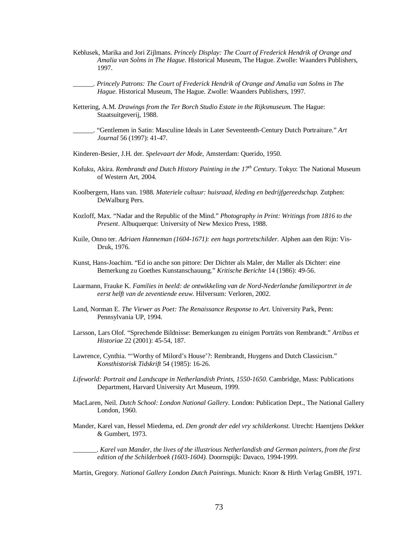- Keblusek, Marika and Jori Zijlmans. *Princely Display: The Court of Frederick Hendrik of Orange and Amalia van Solms in The Hague*. Historical Museum, The Hague. Zwolle: Waanders Publishers, 1997.
- \_\_\_\_\_\_. *Princely Patrons: The Court of Frederick Hendrik of Orange and Amalia van Solms in The Hague*. Historical Museum, The Hague. Zwolle: Waanders Publishers, 1997.
- Kettering, A.M. *Drawings from the Ter Borch Studio Estate in the Rijksmuseum*. The Hague: Staatsuitgeverij, 1988.
- \_\_\_\_\_\_. "Gentlemen in Satin: Masculine Ideals in Later Seventeenth-Century Dutch Portraiture." *Art Journal* 56 (1997): 41-47.
- Kinderen-Besier, J.H. der. *Spelevaart der Mode*, Amsterdam: Querido, 1950.
- Kofuku, Akira. *Rembrandt and Dutch History Painting in the 17th Century*. Tokyo: The National Museum of Western Art, 2004.
- Koolbergern, Hans van. 1988. *Materiele cultuur: huisraad, kleding en bedrijfgereedschap*. Zutphen: DeWalburg Pers.
- Kozloff, Max. "Nadar and the Republic of the Mind." *Photography in Print: Writings from 1816 to the Present*. Albuquerque: University of New Mexico Press, 1988.
- Kuile, Onno ter. *Adriaen Hanneman (1604-1671): een hags portretschilder*. Alphen aan den Rijn: Vis-Druk, 1976.
- Kunst, Hans-Joachim. "Ed io anche son pittore: Der Dichter als Maler, der Maller als Dichter: eine Bemerkung zu Goethes Kunstanschauung." *Kritische Berichte* 14 (1986): 49-56.
- Laarmann, Frauke K. *Families in beeld: de ontwikkeling van de Nord-Nederlandse familieportret in de eerst helft van de zeventiende eeuw*. Hilversum: Verloren, 2002.
- Land, Norman E. *The Viewer as Poet: The Renaissance Response to Art*. University Park, Penn: Pennsylvania UP, 1994.
- Larsson, Lars Olof. "Sprechende Bildnisse: Bemerkungen zu einigen Porträts von Rembrandt." *Artibus et Historiae* 22 (2001): 45-54, 187.
- Lawrence, Cynthia. "'Worthy of Milord's House'?: Rembrandt, Huygens and Dutch Classicism." *Konsthistorisk Tidskrift* 54 (1985): 16-26.
- *Lifeworld: Portrait and Landscape in Netherlandish Prints, 1550-1650*. Cambridge, Mass: Publications Department, Harvard University Art Museum, 1999.
- MacLaren, Neil. *Dutch School: London National Gallery*. London: Publication Dept., The National Gallery London, 1960.
- Mander, Karel van, Hessel Miedema, ed. *Den grondt der edel vry schilderkonst*. Utrecht: Haentjens Dekker & Gumbert, 1973.

\_\_\_\_\_\_\_. *Karel van Mander, the lives of the illustrious Netherlandish and German painters, from the first edition of the Schilderboek (1603-1604).* Doornspijk: Davaco, 1994-1999.

Martin, Gregory. *National Gallery London Dutch Paintings*. Munich: Knorr & Hirth Verlag GmBH, 1971.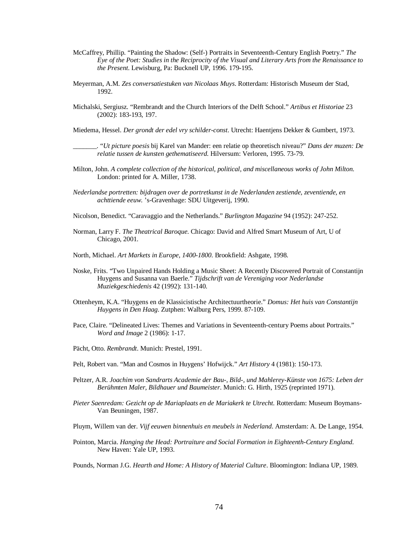- McCaffrey, Phillip. "Painting the Shadow: (Self-) Portraits in Seventeenth-Century English Poetry." *The Eye of the Poet: Studies in the Reciprocity of the Visual and Literary Arts from the Renaissance to the Present*. Lewisburg, Pa: Bucknell UP, 1996. 179-195.
- Meyerman, A.M. *Zes conversatiestuken van Nicolaas Muys*. Rotterdam: Historisch Museum der Stad, 1992.
- Michalski, Sergiusz. "Rembrandt and the Church Interiors of the Delft School." *Artibus et Historiae* 23 (2002): 183-193, 197.

Miedema, Hessel. *Der grondt der edel vry schilder-const*. Utrecht: Haentjens Dekker & Gumbert, 1973.

\_\_\_\_\_\_\_. "*Ut picture poesis* bij Karel van Mander: een relatie op theoretisch niveau?" *Dans der muzen: De relatie tussen de kunsten gethematiseerd*. Hilversum: Verloren, 1995. 73-79.

- Milton, John. *A complete collection of the historical, political, and miscellaneous works of John Milton*. London: printed for A. Miller, 1738.
- *Nederlandse portretten: bijdragen over de portretkunst in de Nederlanden zestiende, zeventiende, en achttiende eeuw*. 's-Gravenhage: SDU Uitgeverij, 1990.
- Nicolson, Benedict. "Caravaggio and the Netherlands." *Burlington Magazine* 94 (1952): 247-252.
- Norman, Larry F. *The Theatrical Baroque*. Chicago: David and Alfred Smart Museum of Art, U of Chicago, 2001.
- North, Michael. *Art Markets in Europe, 1400-1800*. Brookfield: Ashgate, 1998.
- Noske, Frits. "Two Unpaired Hands Holding a Music Sheet: A Recently Discovered Portrait of Constantijn Huygens and Susanna van Baerle." *Tijdschrift van de Vereniging voor Nederlandse Muziekgeschiedenis* 42 (1992): 131-140.
- Ottenheym, K.A. "Huygens en de Klassicistische Architectuurtheorie." *Domus: Het huis van Constantijn Huygens in Den Haag*. Zutphen: Walburg Pers, 1999. 87-109.
- Pace, Claire. "Delineated Lives: Themes and Variations in Seventeenth-century Poems about Portraits." *Word and Image* 2 (1986): 1-17.
- Pächt, Otto. *Rembrandt*. Munich: Prestel, 1991.
- Pelt, Robert van. "Man and Cosmos in Huygens' Hofwijck." *Art History* 4 (1981): 150-173.
- Peltzer, A.R. *Joachim von Sandrarts Academie der Bau-, Bild-, und Mahlerey-Künste von 1675: Leben der Berühmten Maler, Bildhauer und Baumeister*. Munich: G. Hirth, 1925 (reprinted 1971).
- *Pieter Saenredam: Gezicht op de Mariaplaats en de Mariakerk te Utrecht*. Rotterdam: Museum Boymans-Van Beuningen, 1987.
- Pluym, Willem van der. *Vijf eeuwen binnenhuis en meubels in Nederland*. Amsterdam: A. De Lange, 1954.
- Pointon, Marcia. *Hanging the Head: Portraiture and Social Formation in Eighteenth-Century England*. New Haven: Yale UP, 1993.

Pounds, Norman J.G. *Hearth and Home: A History of Material Culture*. Bloomington: Indiana UP, 1989.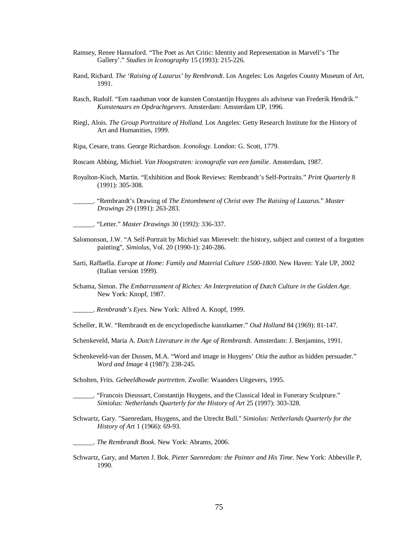- Ramsey, Renee Hannaford. "The Poet as Art Critic: Identity and Representation in Marvell's 'The Gallery'." *Studies in Iconography* 15 (1993): 215-226.
- Rand, Richard. *The 'Raising of Lazarus' by Rembrandt*. Los Angeles: Los Angeles County Museum of Art, 1991.
- Rasch, Rudolf. "Een raadsman voor de kunsten Constantijn Huygens als adviseur van Frederik Hendrik." *Kunstenaars en Opdrachtgevers*. Amsterdam: Amsterdam UP, 1996.
- Riegl, Alois. *The Group Portraiture of Holland.* Los Angeles: Getty Research Institute for the History of Art and Humanities, 1999.

Ripa, Cesare, trans. George Richardson. *Iconology.* London: G. Scott, 1779.

- Roscam Abbing, Michiel. *Van Hoogstraten: iconografie van een familie*. Amsterdam, 1987.
- Royalton-Kisch, Martin. "Exhibition and Book Reviews: Rembrandt's Self-Portraits." *Print Quarterly* 8 (1991): 305-308.

\_\_\_\_\_\_. "Rembrandt's Drawing of *The Entombment of Christ* over *The Raising of Lazarus*." *Master Drawings* 29 (1991): 263-283.

\_\_\_\_\_\_. "Letter." *Master Drawings* 30 (1992): 336-337.

- Salomonson, J.W. "A Self-Portrait by Michiel van Mierevelt: the history, subject and context of a forgotten painting", *Simiolus*, Vol. 20 (1990-1): 240-286.
- Sarti, Raffaella. *Europe at Home: Family and Material Culture 1500-1800*. New Haven: Yale UP, 2002 (Italian version 1999).
- Schama, Simon. *The Embarrassment of Riches: An Interpretation of Dutch Culture in the Golden Age*. New York: Knopf, 1987.

\_\_\_\_\_\_. *Rembrandt's Eyes*. New York: Alfred A. Knopf, 1999.

- Scheller, R.W. "Rembrandt en de encyclopedische kunstkamer." *Oud Holland* 84 (1969): 81-147.
- Schenkeveld, Maria A. *Dutch Literature in the Age of Rembrandt*. Amsterdam: J. Benjamins, 1991.
- Schenkeveld-van der Dussen, M.A. "Word and image in Huygens' *Otia* the author as hidden persuader." *Word and Image* 4 (1987): 238-245.
- Scholten, Frits. *Gebeeldhowde portretten*. Zwolle: Waanders Uitgevers, 1995.
- \_\_\_\_\_\_. "Francois Dieussart, Constantijn Huygens, and the Classical Ideal in Funerary Sculpture." *Simiolus: Netherlands Quarterly for the History of Art* 25 (1997): 303-328.
- Schwartz, Gary. "Saenredam, Huygens, and the Utrecht Bull." *Simiolus: Netherlands Quarterly for the History of Art* 1 (1966): 69-93.

\_\_\_\_\_\_. *The Rembrandt Book*. New York: Abrams, 2006.

Schwartz, Gary, and Marten J. Bok. *Pieter Saenredam: the Painter and His Time*. New York: Abbeville P, 1990.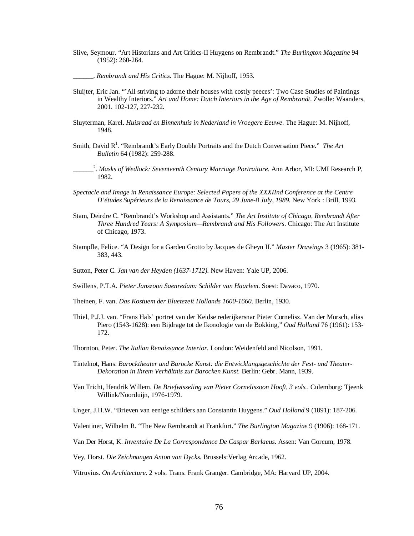Slive, Seymour. "Art Historians and Art Critics-II Huygens on Rembrandt." *The Burlington Magazine* 94 (1952): 260-264.

\_\_\_\_\_\_. *Rembrandt and His Critics*. The Hague: M. Nijhoff, 1953.

- Sluijter, Eric Jan. "'All striving to adorne their houses with costly peeces': Two Case Studies of Paintings in Wealthy Interiors." *Art and Home: Dutch Interiors in the Age of Rembrandt*. Zwolle: Waanders, 2001. 102-127, 227-232.
- Sluyterman, Karel. *Huisraad en Binnenhuis in Nederland in Vroegere Eeuwe*. The Hague: M. Nijhoff, 1948.
- Smith, David R<sup>1</sup>. "Rembrandt's Early Double Portraits and the Dutch Conversation Piece." The Art *Bulletin* 64 (1982): 259-288.
- $\overline{\phantom{a}}$ 2 . *Masks of Wedlock: Seventeenth Century Marriage Portraiture*. Ann Arbor, MI: UMI Research P, 1982.
- *Spectacle and Image in Renaissance Europe: Selected Papers of the XXXIInd Conference at the Centre D'études Supérieurs de la Renaissance de Tours, 29 June-8 July, 1989.* New York : Brill, 1993.
- Stam, Deirdre C. "Rembrandt's Workshop and Assistants." *The Art Institute of Chicago, Rembrandt After Three Hundred Years: A Symposium—Rembrandt and His Followers*. Chicago: The Art Institute of Chicago, 1973.
- Stampfle, Felice. "A Design for a Garden Grotto by Jacques de Gheyn II." *Master Drawings* 3 (1965): 381- 383, 443.
- Sutton, Peter C. *Jan van der Heyden (1637-1712)*. New Haven: Yale UP, 2006.
- Swillens, P.T.A. *Pieter Janszoon Saenredam: Schilder van Haarlem*. Soest: Davaco, 1970.
- Theinen, F. van. *Das Kostuem der Bluetezeit Hollands 1600-1660*. Berlin, 1930.
- Thiel, P.J.J. van. "Frans Hals' portret van der Keidse rederijkersnar Pieter Cornelisz. Van der Morsch, alias Piero (1543-1628): een Bijdrage tot de Ikonologie van de Bokking," *Oud Holland* 76 (1961): 153- 172.
- Thornton, Peter. *The Italian Renaissance Interior*. London: Weidenfeld and Nicolson, 1991.
- Tintelnot, Hans. *Barocktheater und Barocke Kunst: die Entwicklungsgeschichte der Fest- und Theater-Dekoration in Ihrem Verhältnis zur Barocken Kunst.* Berlin: Gebr. Mann, 1939.
- Van Tricht, Hendrik Willem. *De Briefwisseling van Pieter Corneliszoon Hooft, 3 vols.*. Culemborg: Tjeenk Willink/Noorduijn, 1976-1979.

Unger, J.H.W. "Brieven van eenige schilders aan Constantin Huygens." *Oud Holland* 9 (1891): 187-206.

Valentiner, Wilhelm R. "The New Rembrandt at Frankfurt." *The Burlington Magazine* 9 (1906): 168-171.

Van Der Horst, K. *Inventaire De La Correspondance De Caspar Barlaeus*. Assen: Van Gorcum, 1978.

Vey, Horst. *Die Zeichnungen Anton van Dycks*. Brussels:Verlag Arcade, 1962.

Vitruvius. *On Architecture*. 2 vols. Trans. Frank Granger. Cambridge, MA: Harvard UP, 2004.